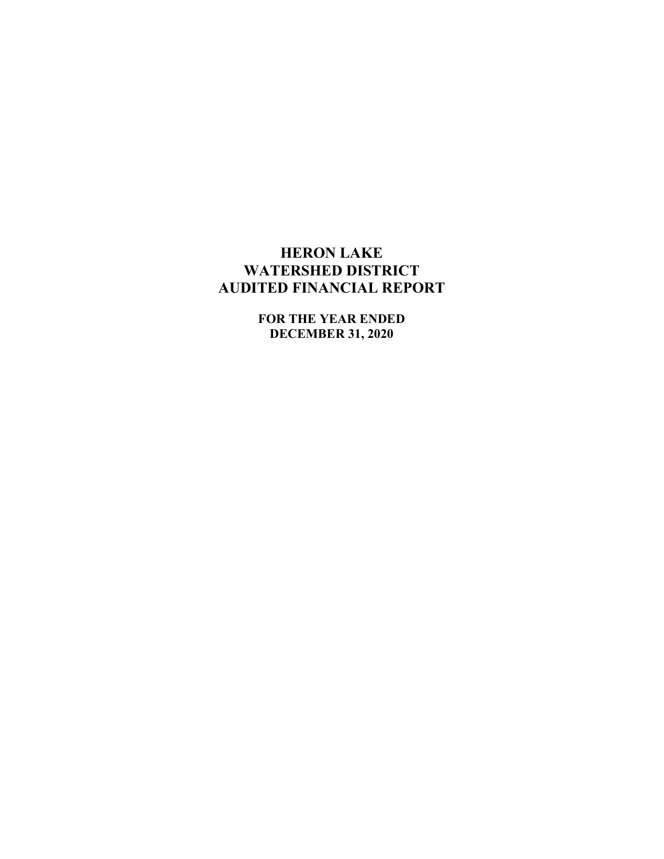# HERON LAKE WATERSHED DISTRICT AUDITED FINANCIAL REPORT

FOR THE YEAR ENDED DECEMBER 31, 2020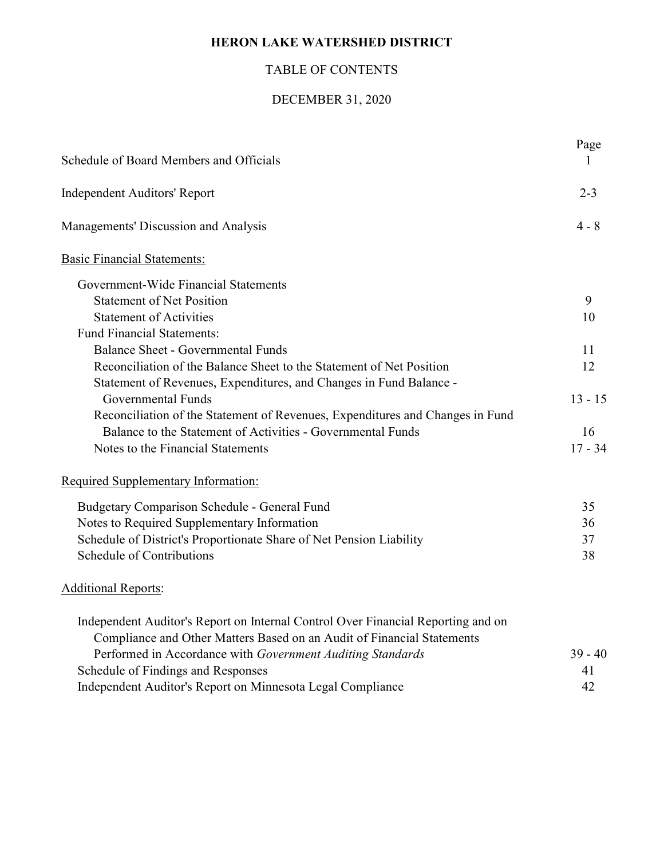# HERON LAKE WATERSHED DISTRICT

# TABLE OF CONTENTS

# DECEMBER 31, 2020

| Schedule of Board Members and Officials                                          | Page      |
|----------------------------------------------------------------------------------|-----------|
| <b>Independent Auditors' Report</b>                                              | $2 - 3$   |
| Managements' Discussion and Analysis                                             | $4 - 8$   |
| <b>Basic Financial Statements:</b>                                               |           |
| Government-Wide Financial Statements                                             |           |
| <b>Statement of Net Position</b>                                                 | 9         |
| <b>Statement of Activities</b>                                                   | 10        |
| <b>Fund Financial Statements:</b>                                                |           |
| <b>Balance Sheet - Governmental Funds</b>                                        | 11        |
| Reconciliation of the Balance Sheet to the Statement of Net Position             | 12        |
| Statement of Revenues, Expenditures, and Changes in Fund Balance -               |           |
| Governmental Funds                                                               | $13 - 15$ |
| Reconciliation of the Statement of Revenues, Expenditures and Changes in Fund    |           |
| Balance to the Statement of Activities - Governmental Funds                      | 16        |
| Notes to the Financial Statements                                                | $17 - 34$ |
| Required Supplementary Information:                                              |           |
| Budgetary Comparison Schedule - General Fund                                     | 35        |
| Notes to Required Supplementary Information                                      | 36        |
| Schedule of District's Proportionate Share of Net Pension Liability              | 37        |
| Schedule of Contributions                                                        | 38        |
| <b>Additional Reports:</b>                                                       |           |
| Independent Auditor's Report on Internal Control Over Financial Reporting and on |           |
| Compliance and Other Matters Based on an Audit of Financial Statements           |           |
| Performed in Accordance with Government Auditing Standards                       | $39 - 40$ |
| Schedule of Findings and Responses                                               | 41        |
| Independent Auditor's Report on Minnesota Legal Compliance                       | 42        |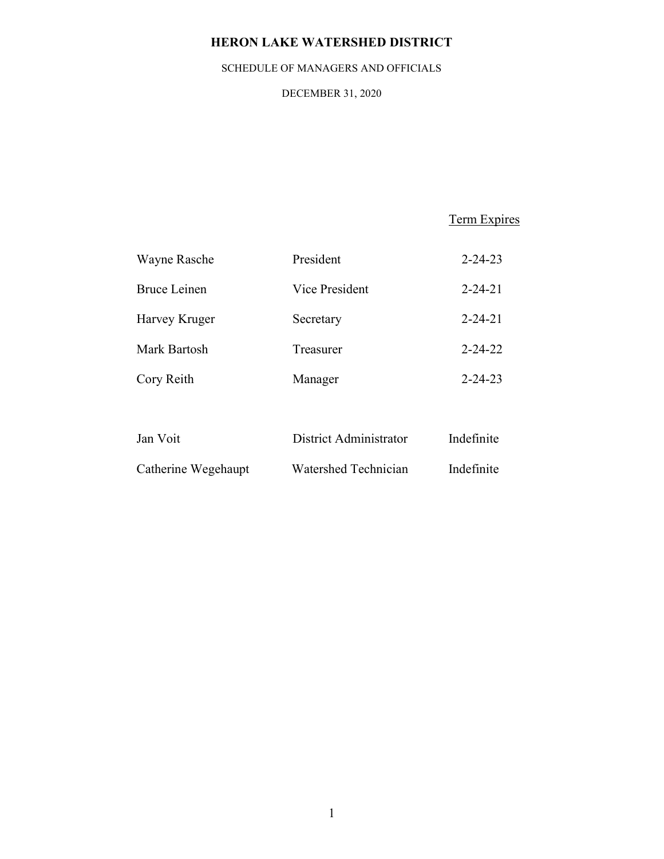# HERON LAKE WATERSHED DISTRICT

# SCHEDULE OF MANAGERS AND OFFICIALS

DECEMBER 31, 2020

Term Expires

| Wayne Rasche        | President      | $2 - 24 - 23$ |
|---------------------|----------------|---------------|
| <b>Bruce Leinen</b> | Vice President | $2 - 24 - 21$ |
| Harvey Kruger       | Secretary      | $2 - 24 - 21$ |
| Mark Bartosh        | Treasurer      | $2 - 24 - 22$ |
| Cory Reith          | Manager        | $2 - 24 - 23$ |
|                     |                |               |

| Jan Voit            | District Administrator | Indefinite |
|---------------------|------------------------|------------|
| Catherine Wegehaupt | Watershed Technician   | Indefinite |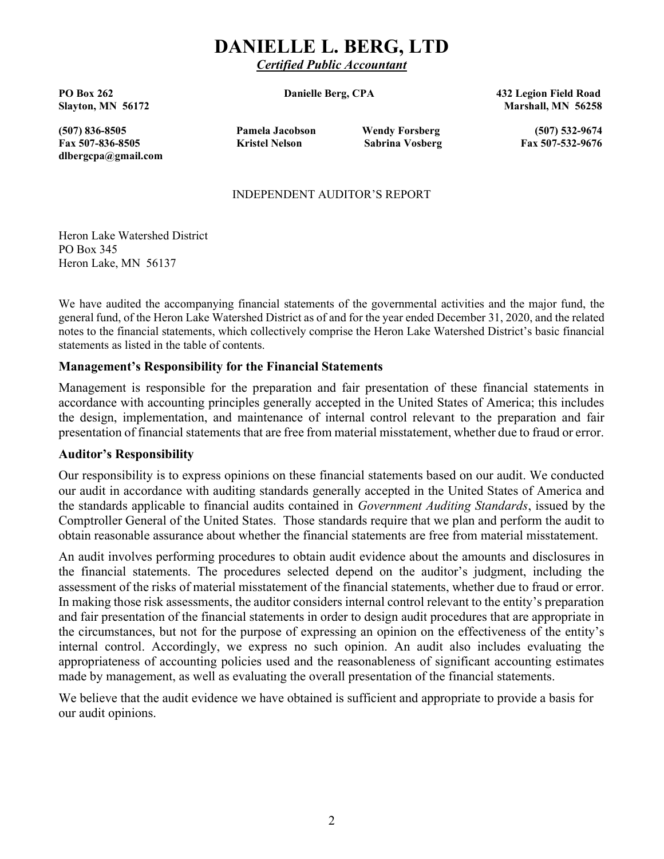# DANIELLE L. BERG, LTD

Certified Public Accountant

PO Box 262 **Danielle Berg, CPA** 432 Legion Field Road Slayton, MN 56172 Marshall, MN 56258

(507) 836-8505 Pamela Jacobson Wendy Forsberg (507) 532-9674 Fax 507-836-8505 Kristel Nelson Sabrina Vosberg Fax 507-532-9676 dlbergcpa@gmail.com

#### INDEPENDENT AUDITOR'S REPORT

Heron Lake Watershed District PO Box 345 Heron Lake, MN 56137

We have audited the accompanying financial statements of the governmental activities and the major fund, the general fund, of the Heron Lake Watershed District as of and for the year ended December 31, 2020, and the related notes to the financial statements, which collectively comprise the Heron Lake Watershed District's basic financial statements as listed in the table of contents.

## Management's Responsibility for the Financial Statements

Management is responsible for the preparation and fair presentation of these financial statements in accordance with accounting principles generally accepted in the United States of America; this includes the design, implementation, and maintenance of internal control relevant to the preparation and fair presentation of financial statements that are free from material misstatement, whether due to fraud or error.

#### Auditor's Responsibility

Our responsibility is to express opinions on these financial statements based on our audit. We conducted our audit in accordance with auditing standards generally accepted in the United States of America and the standards applicable to financial audits contained in Government Auditing Standards, issued by the Comptroller General of the United States. Those standards require that we plan and perform the audit to obtain reasonable assurance about whether the financial statements are free from material misstatement.

An audit involves performing procedures to obtain audit evidence about the amounts and disclosures in the financial statements. The procedures selected depend on the auditor's judgment, including the assessment of the risks of material misstatement of the financial statements, whether due to fraud or error. In making those risk assessments, the auditor considers internal control relevant to the entity's preparation and fair presentation of the financial statements in order to design audit procedures that are appropriate in the circumstances, but not for the purpose of expressing an opinion on the effectiveness of the entity's internal control. Accordingly, we express no such opinion. An audit also includes evaluating the appropriateness of accounting policies used and the reasonableness of significant accounting estimates made by management, as well as evaluating the overall presentation of the financial statements.

We believe that the audit evidence we have obtained is sufficient and appropriate to provide a basis for our audit opinions.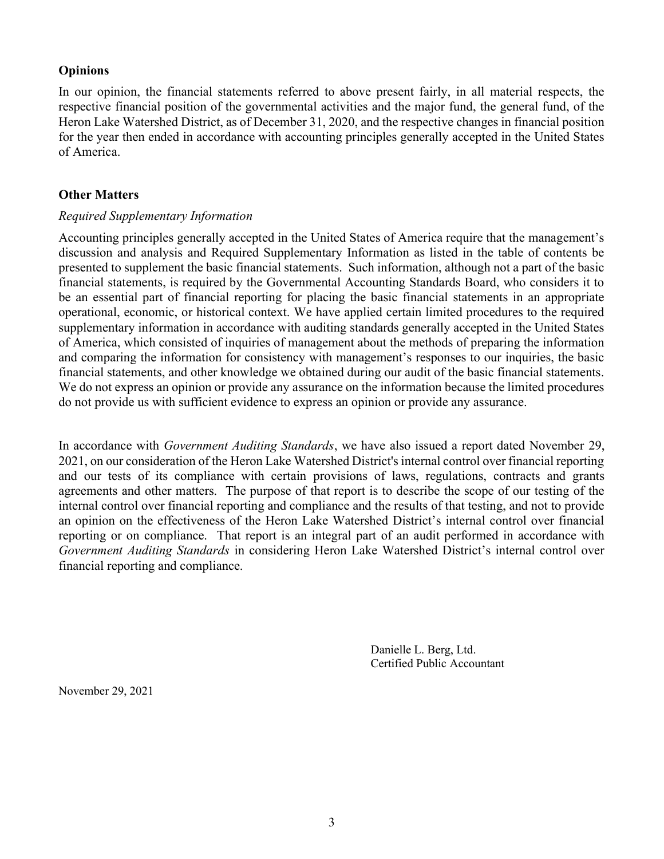# **Opinions**

In our opinion, the financial statements referred to above present fairly, in all material respects, the respective financial position of the governmental activities and the major fund, the general fund, of the Heron Lake Watershed District, as of December 31, 2020, and the respective changes in financial position for the year then ended in accordance with accounting principles generally accepted in the United States of America.

## Other Matters

## Required Supplementary Information

Accounting principles generally accepted in the United States of America require that the management's discussion and analysis and Required Supplementary Information as listed in the table of contents be presented to supplement the basic financial statements. Such information, although not a part of the basic financial statements, is required by the Governmental Accounting Standards Board, who considers it to be an essential part of financial reporting for placing the basic financial statements in an appropriate operational, economic, or historical context. We have applied certain limited procedures to the required supplementary information in accordance with auditing standards generally accepted in the United States of America, which consisted of inquiries of management about the methods of preparing the information and comparing the information for consistency with management's responses to our inquiries, the basic financial statements, and other knowledge we obtained during our audit of the basic financial statements. We do not express an opinion or provide any assurance on the information because the limited procedures do not provide us with sufficient evidence to express an opinion or provide any assurance.

In accordance with Government Auditing Standards, we have also issued a report dated November 29, 2021, on our consideration of the Heron Lake Watershed District's internal control over financial reporting and our tests of its compliance with certain provisions of laws, regulations, contracts and grants agreements and other matters. The purpose of that report is to describe the scope of our testing of the internal control over financial reporting and compliance and the results of that testing, and not to provide an opinion on the effectiveness of the Heron Lake Watershed District's internal control over financial reporting or on compliance. That report is an integral part of an audit performed in accordance with Government Auditing Standards in considering Heron Lake Watershed District's internal control over financial reporting and compliance.

> Danielle L. Berg, Ltd. Certified Public Accountant

November 29, 2021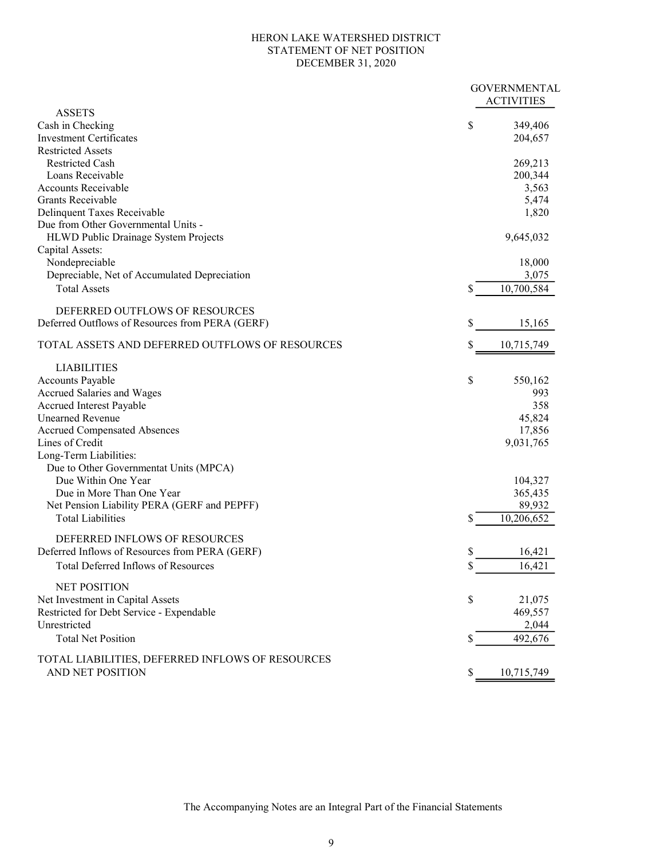#### HERON LAKE WATERSHED DISTRICT STATEMENT OF NET POSITION DECEMBER 31, 2020

| <b>ASSETS</b><br>\$<br>Cash in Checking<br>349,406<br><b>Investment Certificates</b><br>204,657<br><b>Restricted Assets</b><br><b>Restricted Cash</b><br>269,213<br>Loans Receivable<br>200,344<br><b>Accounts Receivable</b><br>3,563<br>Grants Receivable<br>5,474<br>Delinquent Taxes Receivable<br>1,820<br>Due from Other Governmental Units -<br>9,645,032<br>HLWD Public Drainage System Projects<br>Capital Assets:<br>Nondepreciable<br>18,000<br>3,075<br>Depreciable, Net of Accumulated Depreciation<br><b>Total Assets</b><br>\$<br>10,700,584<br>DEFERRED OUTFLOWS OF RESOURCES<br>Deferred Outflows of Resources from PERA (GERF)<br>\$<br>15,165<br>TOTAL ASSETS AND DEFERRED OUTFLOWS OF RESOURCES<br>\$<br>10,715,749<br><b>LIABILITIES</b><br>Accounts Payable<br>\$<br>550,162<br>Accrued Salaries and Wages<br>993<br>358<br>Accrued Interest Payable<br><b>Unearned Revenue</b><br>45,824<br><b>Accrued Compensated Absences</b><br>17,856<br>Lines of Credit<br>9,031,765<br>Long-Term Liabilities:<br>Due to Other Governmentat Units (MPCA)<br>Due Within One Year<br>104,327<br>Due in More Than One Year<br>365,435<br>Net Pension Liability PERA (GERF and PEPFF)<br>89,932<br>10,206,652<br><b>Total Liabilities</b><br>DEFERRED INFLOWS OF RESOURCES<br>\$<br>Deferred Inflows of Resources from PERA (GERF)<br>16,421<br>Total Deferred Inflows of Resources<br>16,421<br>P<br><b>NET POSITION</b><br>\$<br>Net Investment in Capital Assets<br>21,075<br>Restricted for Debt Service - Expendable<br>469,557<br>Unrestricted<br>2,044<br><b>Total Net Position</b><br>\$<br>492,676<br>TOTAL LIABILITIES, DEFERRED INFLOWS OF RESOURCES<br>AND NET POSITION<br>10,715,749<br>S. |  | <b>GOVERNMENTAL</b><br><b>ACTIVITIES</b> |
|-----------------------------------------------------------------------------------------------------------------------------------------------------------------------------------------------------------------------------------------------------------------------------------------------------------------------------------------------------------------------------------------------------------------------------------------------------------------------------------------------------------------------------------------------------------------------------------------------------------------------------------------------------------------------------------------------------------------------------------------------------------------------------------------------------------------------------------------------------------------------------------------------------------------------------------------------------------------------------------------------------------------------------------------------------------------------------------------------------------------------------------------------------------------------------------------------------------------------------------------------------------------------------------------------------------------------------------------------------------------------------------------------------------------------------------------------------------------------------------------------------------------------------------------------------------------------------------------------------------------------------------------------------------------------------------------------------------------|--|------------------------------------------|
|                                                                                                                                                                                                                                                                                                                                                                                                                                                                                                                                                                                                                                                                                                                                                                                                                                                                                                                                                                                                                                                                                                                                                                                                                                                                                                                                                                                                                                                                                                                                                                                                                                                                                                                 |  |                                          |
|                                                                                                                                                                                                                                                                                                                                                                                                                                                                                                                                                                                                                                                                                                                                                                                                                                                                                                                                                                                                                                                                                                                                                                                                                                                                                                                                                                                                                                                                                                                                                                                                                                                                                                                 |  |                                          |
|                                                                                                                                                                                                                                                                                                                                                                                                                                                                                                                                                                                                                                                                                                                                                                                                                                                                                                                                                                                                                                                                                                                                                                                                                                                                                                                                                                                                                                                                                                                                                                                                                                                                                                                 |  |                                          |
|                                                                                                                                                                                                                                                                                                                                                                                                                                                                                                                                                                                                                                                                                                                                                                                                                                                                                                                                                                                                                                                                                                                                                                                                                                                                                                                                                                                                                                                                                                                                                                                                                                                                                                                 |  |                                          |
|                                                                                                                                                                                                                                                                                                                                                                                                                                                                                                                                                                                                                                                                                                                                                                                                                                                                                                                                                                                                                                                                                                                                                                                                                                                                                                                                                                                                                                                                                                                                                                                                                                                                                                                 |  |                                          |
|                                                                                                                                                                                                                                                                                                                                                                                                                                                                                                                                                                                                                                                                                                                                                                                                                                                                                                                                                                                                                                                                                                                                                                                                                                                                                                                                                                                                                                                                                                                                                                                                                                                                                                                 |  |                                          |
|                                                                                                                                                                                                                                                                                                                                                                                                                                                                                                                                                                                                                                                                                                                                                                                                                                                                                                                                                                                                                                                                                                                                                                                                                                                                                                                                                                                                                                                                                                                                                                                                                                                                                                                 |  |                                          |
|                                                                                                                                                                                                                                                                                                                                                                                                                                                                                                                                                                                                                                                                                                                                                                                                                                                                                                                                                                                                                                                                                                                                                                                                                                                                                                                                                                                                                                                                                                                                                                                                                                                                                                                 |  |                                          |
|                                                                                                                                                                                                                                                                                                                                                                                                                                                                                                                                                                                                                                                                                                                                                                                                                                                                                                                                                                                                                                                                                                                                                                                                                                                                                                                                                                                                                                                                                                                                                                                                                                                                                                                 |  |                                          |
|                                                                                                                                                                                                                                                                                                                                                                                                                                                                                                                                                                                                                                                                                                                                                                                                                                                                                                                                                                                                                                                                                                                                                                                                                                                                                                                                                                                                                                                                                                                                                                                                                                                                                                                 |  |                                          |
|                                                                                                                                                                                                                                                                                                                                                                                                                                                                                                                                                                                                                                                                                                                                                                                                                                                                                                                                                                                                                                                                                                                                                                                                                                                                                                                                                                                                                                                                                                                                                                                                                                                                                                                 |  |                                          |
|                                                                                                                                                                                                                                                                                                                                                                                                                                                                                                                                                                                                                                                                                                                                                                                                                                                                                                                                                                                                                                                                                                                                                                                                                                                                                                                                                                                                                                                                                                                                                                                                                                                                                                                 |  |                                          |
|                                                                                                                                                                                                                                                                                                                                                                                                                                                                                                                                                                                                                                                                                                                                                                                                                                                                                                                                                                                                                                                                                                                                                                                                                                                                                                                                                                                                                                                                                                                                                                                                                                                                                                                 |  |                                          |
|                                                                                                                                                                                                                                                                                                                                                                                                                                                                                                                                                                                                                                                                                                                                                                                                                                                                                                                                                                                                                                                                                                                                                                                                                                                                                                                                                                                                                                                                                                                                                                                                                                                                                                                 |  |                                          |
|                                                                                                                                                                                                                                                                                                                                                                                                                                                                                                                                                                                                                                                                                                                                                                                                                                                                                                                                                                                                                                                                                                                                                                                                                                                                                                                                                                                                                                                                                                                                                                                                                                                                                                                 |  |                                          |
|                                                                                                                                                                                                                                                                                                                                                                                                                                                                                                                                                                                                                                                                                                                                                                                                                                                                                                                                                                                                                                                                                                                                                                                                                                                                                                                                                                                                                                                                                                                                                                                                                                                                                                                 |  |                                          |
|                                                                                                                                                                                                                                                                                                                                                                                                                                                                                                                                                                                                                                                                                                                                                                                                                                                                                                                                                                                                                                                                                                                                                                                                                                                                                                                                                                                                                                                                                                                                                                                                                                                                                                                 |  |                                          |
|                                                                                                                                                                                                                                                                                                                                                                                                                                                                                                                                                                                                                                                                                                                                                                                                                                                                                                                                                                                                                                                                                                                                                                                                                                                                                                                                                                                                                                                                                                                                                                                                                                                                                                                 |  |                                          |
|                                                                                                                                                                                                                                                                                                                                                                                                                                                                                                                                                                                                                                                                                                                                                                                                                                                                                                                                                                                                                                                                                                                                                                                                                                                                                                                                                                                                                                                                                                                                                                                                                                                                                                                 |  |                                          |
|                                                                                                                                                                                                                                                                                                                                                                                                                                                                                                                                                                                                                                                                                                                                                                                                                                                                                                                                                                                                                                                                                                                                                                                                                                                                                                                                                                                                                                                                                                                                                                                                                                                                                                                 |  |                                          |
|                                                                                                                                                                                                                                                                                                                                                                                                                                                                                                                                                                                                                                                                                                                                                                                                                                                                                                                                                                                                                                                                                                                                                                                                                                                                                                                                                                                                                                                                                                                                                                                                                                                                                                                 |  |                                          |
|                                                                                                                                                                                                                                                                                                                                                                                                                                                                                                                                                                                                                                                                                                                                                                                                                                                                                                                                                                                                                                                                                                                                                                                                                                                                                                                                                                                                                                                                                                                                                                                                                                                                                                                 |  |                                          |
|                                                                                                                                                                                                                                                                                                                                                                                                                                                                                                                                                                                                                                                                                                                                                                                                                                                                                                                                                                                                                                                                                                                                                                                                                                                                                                                                                                                                                                                                                                                                                                                                                                                                                                                 |  |                                          |
|                                                                                                                                                                                                                                                                                                                                                                                                                                                                                                                                                                                                                                                                                                                                                                                                                                                                                                                                                                                                                                                                                                                                                                                                                                                                                                                                                                                                                                                                                                                                                                                                                                                                                                                 |  |                                          |
|                                                                                                                                                                                                                                                                                                                                                                                                                                                                                                                                                                                                                                                                                                                                                                                                                                                                                                                                                                                                                                                                                                                                                                                                                                                                                                                                                                                                                                                                                                                                                                                                                                                                                                                 |  |                                          |
|                                                                                                                                                                                                                                                                                                                                                                                                                                                                                                                                                                                                                                                                                                                                                                                                                                                                                                                                                                                                                                                                                                                                                                                                                                                                                                                                                                                                                                                                                                                                                                                                                                                                                                                 |  |                                          |
|                                                                                                                                                                                                                                                                                                                                                                                                                                                                                                                                                                                                                                                                                                                                                                                                                                                                                                                                                                                                                                                                                                                                                                                                                                                                                                                                                                                                                                                                                                                                                                                                                                                                                                                 |  |                                          |
|                                                                                                                                                                                                                                                                                                                                                                                                                                                                                                                                                                                                                                                                                                                                                                                                                                                                                                                                                                                                                                                                                                                                                                                                                                                                                                                                                                                                                                                                                                                                                                                                                                                                                                                 |  |                                          |
|                                                                                                                                                                                                                                                                                                                                                                                                                                                                                                                                                                                                                                                                                                                                                                                                                                                                                                                                                                                                                                                                                                                                                                                                                                                                                                                                                                                                                                                                                                                                                                                                                                                                                                                 |  |                                          |
|                                                                                                                                                                                                                                                                                                                                                                                                                                                                                                                                                                                                                                                                                                                                                                                                                                                                                                                                                                                                                                                                                                                                                                                                                                                                                                                                                                                                                                                                                                                                                                                                                                                                                                                 |  |                                          |
|                                                                                                                                                                                                                                                                                                                                                                                                                                                                                                                                                                                                                                                                                                                                                                                                                                                                                                                                                                                                                                                                                                                                                                                                                                                                                                                                                                                                                                                                                                                                                                                                                                                                                                                 |  |                                          |
|                                                                                                                                                                                                                                                                                                                                                                                                                                                                                                                                                                                                                                                                                                                                                                                                                                                                                                                                                                                                                                                                                                                                                                                                                                                                                                                                                                                                                                                                                                                                                                                                                                                                                                                 |  |                                          |
|                                                                                                                                                                                                                                                                                                                                                                                                                                                                                                                                                                                                                                                                                                                                                                                                                                                                                                                                                                                                                                                                                                                                                                                                                                                                                                                                                                                                                                                                                                                                                                                                                                                                                                                 |  |                                          |
|                                                                                                                                                                                                                                                                                                                                                                                                                                                                                                                                                                                                                                                                                                                                                                                                                                                                                                                                                                                                                                                                                                                                                                                                                                                                                                                                                                                                                                                                                                                                                                                                                                                                                                                 |  |                                          |
|                                                                                                                                                                                                                                                                                                                                                                                                                                                                                                                                                                                                                                                                                                                                                                                                                                                                                                                                                                                                                                                                                                                                                                                                                                                                                                                                                                                                                                                                                                                                                                                                                                                                                                                 |  |                                          |
|                                                                                                                                                                                                                                                                                                                                                                                                                                                                                                                                                                                                                                                                                                                                                                                                                                                                                                                                                                                                                                                                                                                                                                                                                                                                                                                                                                                                                                                                                                                                                                                                                                                                                                                 |  |                                          |
|                                                                                                                                                                                                                                                                                                                                                                                                                                                                                                                                                                                                                                                                                                                                                                                                                                                                                                                                                                                                                                                                                                                                                                                                                                                                                                                                                                                                                                                                                                                                                                                                                                                                                                                 |  |                                          |
|                                                                                                                                                                                                                                                                                                                                                                                                                                                                                                                                                                                                                                                                                                                                                                                                                                                                                                                                                                                                                                                                                                                                                                                                                                                                                                                                                                                                                                                                                                                                                                                                                                                                                                                 |  |                                          |
|                                                                                                                                                                                                                                                                                                                                                                                                                                                                                                                                                                                                                                                                                                                                                                                                                                                                                                                                                                                                                                                                                                                                                                                                                                                                                                                                                                                                                                                                                                                                                                                                                                                                                                                 |  |                                          |
|                                                                                                                                                                                                                                                                                                                                                                                                                                                                                                                                                                                                                                                                                                                                                                                                                                                                                                                                                                                                                                                                                                                                                                                                                                                                                                                                                                                                                                                                                                                                                                                                                                                                                                                 |  |                                          |
|                                                                                                                                                                                                                                                                                                                                                                                                                                                                                                                                                                                                                                                                                                                                                                                                                                                                                                                                                                                                                                                                                                                                                                                                                                                                                                                                                                                                                                                                                                                                                                                                                                                                                                                 |  |                                          |
|                                                                                                                                                                                                                                                                                                                                                                                                                                                                                                                                                                                                                                                                                                                                                                                                                                                                                                                                                                                                                                                                                                                                                                                                                                                                                                                                                                                                                                                                                                                                                                                                                                                                                                                 |  |                                          |
|                                                                                                                                                                                                                                                                                                                                                                                                                                                                                                                                                                                                                                                                                                                                                                                                                                                                                                                                                                                                                                                                                                                                                                                                                                                                                                                                                                                                                                                                                                                                                                                                                                                                                                                 |  |                                          |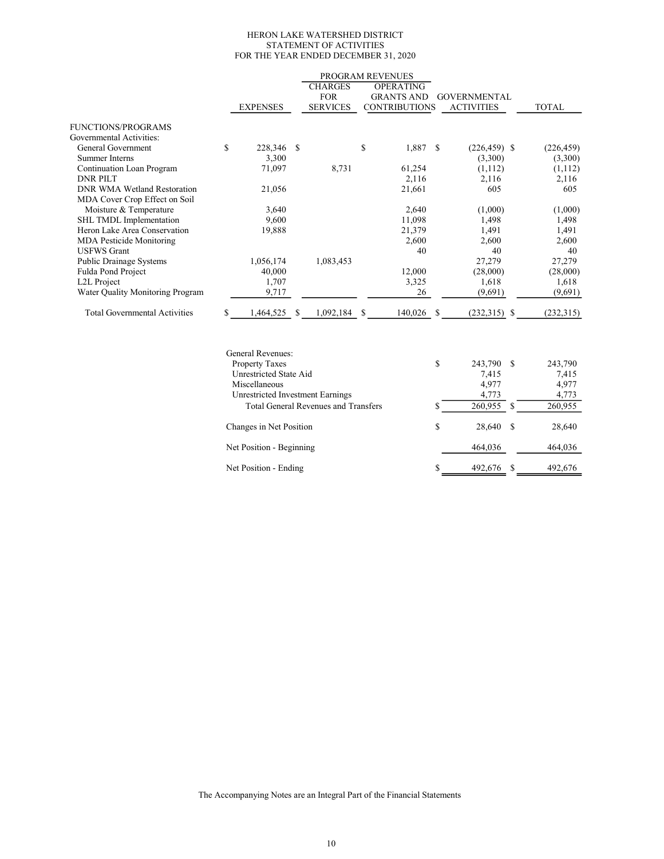#### HERON LAKE WATERSHED DISTRICT STATEMENT OF ACTIVITIES FOR THE YEAR ENDED DECEMBER 31, 2020

|                                      |    |                 |               |                 |    | PROGRAM REVENUES     |              |                     |              |
|--------------------------------------|----|-----------------|---------------|-----------------|----|----------------------|--------------|---------------------|--------------|
|                                      |    |                 |               | <b>CHARGES</b>  |    | <b>OPERATING</b>     |              |                     |              |
|                                      |    |                 |               | <b>FOR</b>      |    | <b>GRANTS AND</b>    |              | <b>GOVERNMENTAL</b> |              |
|                                      |    | <b>EXPENSES</b> |               | <b>SERVICES</b> |    | <b>CONTRIBUTIONS</b> |              | <b>ACTIVITIES</b>   | <b>TOTAL</b> |
| <b>FUNCTIONS/PROGRAMS</b>            |    |                 |               |                 |    |                      |              |                     |              |
| Governmental Activities:             |    |                 |               |                 |    |                      |              |                     |              |
| General Government                   | \$ | 228,346         | <sup>\$</sup> |                 | \$ | 1,887                | <sup>S</sup> | $(226, 459)$ \$     | (226, 459)   |
| Summer Interns                       |    | 3,300           |               |                 |    |                      |              | (3,300)             | (3,300)      |
| Continuation Loan Program            |    | 71,097          |               | 8,731           |    | 61,254               |              | (1, 112)            | (1,112)      |
| <b>DNR PILT</b>                      |    |                 |               |                 |    | 2,116                |              | 2,116               | 2,116        |
| <b>DNR WMA Wetland Restoration</b>   |    | 21,056          |               |                 |    | 21,661               |              | 605                 | 605          |
| MDA Cover Crop Effect on Soil        |    |                 |               |                 |    |                      |              |                     |              |
| Moisture & Temperature               |    | 3,640           |               |                 |    | 2,640                |              | (1,000)             | (1,000)      |
| SHL TMDL Implementation              |    | 9,600           |               |                 |    | 11,098               |              | 1,498               | 1,498        |
| Heron Lake Area Conservation         |    | 19,888          |               |                 |    | 21,379               |              | 1,491               | 1,491        |
| <b>MDA</b> Pesticide Monitoring      |    |                 |               |                 |    | 2,600                |              | 2,600               | 2,600        |
| <b>USFWS Grant</b>                   |    |                 |               |                 |    | 40                   |              | 40                  | 40           |
| <b>Public Drainage Systems</b>       |    | 1,056,174       |               | 1,083,453       |    |                      |              | 27,279              | 27,279       |
| Fulda Pond Project                   |    | 40,000          |               |                 |    | 12,000               |              | (28,000)            | (28,000)     |
| L <sub>2</sub> L Project             |    | 1,707           |               |                 |    | 3,325                |              | 1,618               | 1,618        |
| Water Quality Monitoring Program     |    | 9,717           |               |                 |    | 26                   |              | (9,691)             | (9,691)      |
| <b>Total Governmental Activities</b> | S  | 1,464,525       | \$.           | 1,092,184       | -S | 140,026              | S.           | $(232,315)$ \$      | (232,315)    |
|                                      |    |                 |               |                 |    |                      |              |                     |              |

| General Revenues:                           |    |         |    |         |
|---------------------------------------------|----|---------|----|---------|
| <b>Property Taxes</b>                       | \$ | 243,790 | -S | 243,790 |
| Unrestricted State Aid                      |    | 7.415   |    | 7,415   |
| Miscellaneous                               |    | 4,977   |    | 4,977   |
| Unrestricted Investment Earnings            |    | 4,773   |    | 4,773   |
| <b>Total General Revenues and Transfers</b> | S  | 260,955 | -S | 260,955 |
| Changes in Net Position                     | \$ | 28,640  | S  | 28,640  |
| Net Position - Beginning                    |    | 464,036 |    | 464,036 |
| Net Position - Ending                       | S  | 492,676 | S  | 492,676 |

The Accompanying Notes are an Integral Part of the Financial Statements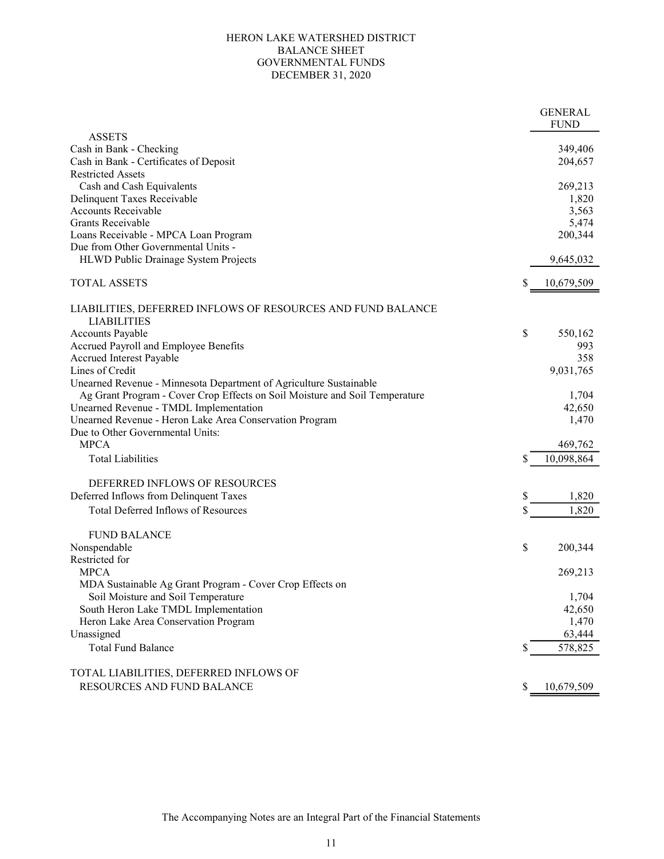#### GOVERNMENTAL FUNDS DECEMBER 31, 2020 HERON LAKE WATERSHED DISTRICT BALANCE SHEET

|                                                                             | <b>GENERAL</b>   |
|-----------------------------------------------------------------------------|------------------|
|                                                                             | <b>FUND</b>      |
| <b>ASSETS</b>                                                               |                  |
| Cash in Bank - Checking                                                     | 349,406          |
| Cash in Bank - Certificates of Deposit                                      | 204,657          |
| <b>Restricted Assets</b>                                                    |                  |
| Cash and Cash Equivalents                                                   | 269,213          |
| Delinquent Taxes Receivable                                                 | 1,820            |
| <b>Accounts Receivable</b>                                                  | 3,563            |
| Grants Receivable                                                           | 5,474            |
| Loans Receivable - MPCA Loan Program                                        | 200,344          |
| Due from Other Governmental Units -                                         |                  |
|                                                                             |                  |
| HLWD Public Drainage System Projects                                        | 9,645,032        |
| <b>TOTAL ASSETS</b>                                                         | \$<br>10,679,509 |
|                                                                             |                  |
| LIABILITIES, DEFERRED INFLOWS OF RESOURCES AND FUND BALANCE                 |                  |
| <b>LIABILITIES</b>                                                          |                  |
| <b>Accounts Payable</b>                                                     | \$<br>550,162    |
| Accrued Payroll and Employee Benefits                                       | 993              |
|                                                                             | 358              |
| Accrued Interest Payable<br>Lines of Credit                                 |                  |
|                                                                             | 9,031,765        |
| Unearned Revenue - Minnesota Department of Agriculture Sustainable          |                  |
| Ag Grant Program - Cover Crop Effects on Soil Moisture and Soil Temperature | 1,704            |
| Unearned Revenue - TMDL Implementation                                      | 42,650           |
| Unearned Revenue - Heron Lake Area Conservation Program                     | 1,470            |
| Due to Other Governmental Units:                                            |                  |
| <b>MPCA</b>                                                                 | 469,762          |
| <b>Total Liabilities</b>                                                    | \$<br>10,098,864 |
|                                                                             |                  |
| DEFERRED INFLOWS OF RESOURCES                                               |                  |
| Deferred Inflows from Delinquent Taxes                                      | \$<br>1,820      |
| Total Deferred Inflows of Resources                                         | \$<br>1,820      |
|                                                                             |                  |
| <b>FUND BALANCE</b>                                                         |                  |
| Nonspendable                                                                | \$<br>200,344    |
| Restricted for                                                              |                  |
| <b>MPCA</b>                                                                 |                  |
|                                                                             | 269,213          |
| MDA Sustainable Ag Grant Program - Cover Crop Effects on                    |                  |
| Soil Moisture and Soil Temperature                                          | 1,704            |
| South Heron Lake TMDL Implementation                                        | 42,650           |
| Heron Lake Area Conservation Program                                        | 1,470            |
| Unassigned                                                                  | 63,444           |
| <b>Total Fund Balance</b>                                                   | \$<br>578,825    |
|                                                                             |                  |
| TOTAL LIABILITIES, DEFERRED INFLOWS OF                                      |                  |
| RESOURCES AND FUND BALANCE                                                  | \$<br>10,679,509 |
|                                                                             |                  |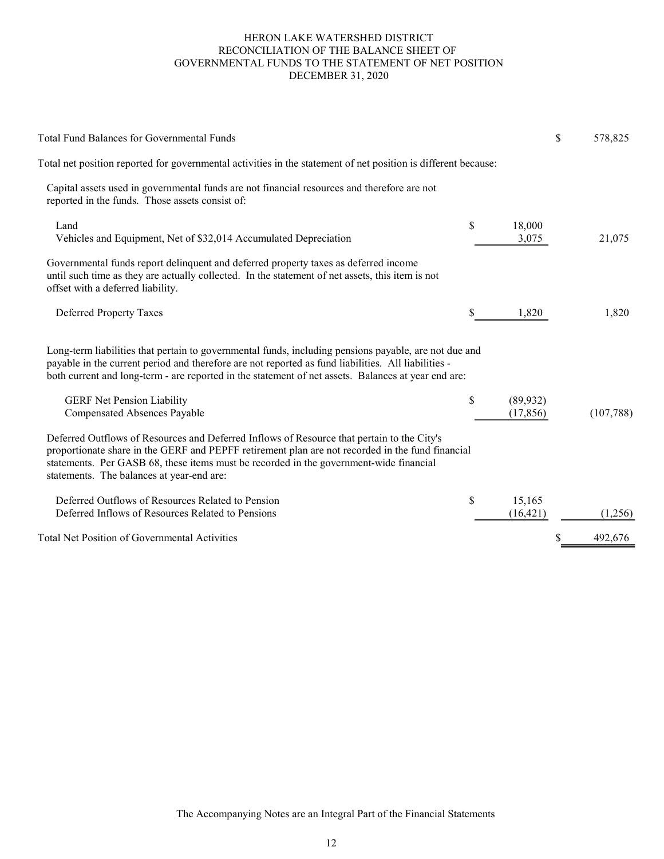#### HERON LAKE WATERSHED DISTRICT RECONCILIATION OF THE BALANCE SHEET OF GOVERNMENTAL FUNDS TO THE STATEMENT OF NET POSITION DECEMBER 31, 2020

| <b>Total Fund Balances for Governmental Funds</b>                                                                                                                                                                                                                                                                                     |                              | \$<br>578,825 |
|---------------------------------------------------------------------------------------------------------------------------------------------------------------------------------------------------------------------------------------------------------------------------------------------------------------------------------------|------------------------------|---------------|
| Total net position reported for governmental activities in the statement of net position is different because:                                                                                                                                                                                                                        |                              |               |
| Capital assets used in governmental funds are not financial resources and therefore are not<br>reported in the funds. Those assets consist of:                                                                                                                                                                                        |                              |               |
| Land<br>Vehicles and Equipment, Net of \$32,014 Accumulated Depreciation                                                                                                                                                                                                                                                              | \$<br>18,000<br>3,075        | 21,075        |
| Governmental funds report delinquent and deferred property taxes as deferred income<br>until such time as they are actually collected. In the statement of net assets, this item is not<br>offset with a deferred liability.                                                                                                          |                              |               |
| Deferred Property Taxes                                                                                                                                                                                                                                                                                                               | \$<br>1,820                  | 1,820         |
| Long-term liabilities that pertain to governmental funds, including pensions payable, are not due and<br>payable in the current period and therefore are not reported as fund liabilities. All liabilities -<br>both current and long-term - are reported in the statement of net assets. Balances at year end are:                   |                              |               |
| <b>GERF Net Pension Liability</b><br>Compensated Absences Payable                                                                                                                                                                                                                                                                     | \$<br>(89, 932)<br>(17, 856) | (107,788)     |
| Deferred Outflows of Resources and Deferred Inflows of Resource that pertain to the City's<br>proportionate share in the GERF and PEPFF retirement plan are not recorded in the fund financial<br>statements. Per GASB 68, these items must be recorded in the government-wide financial<br>statements. The balances at year-end are: |                              |               |
| Deferred Outflows of Resources Related to Pension<br>Deferred Inflows of Resources Related to Pensions                                                                                                                                                                                                                                | \$<br>15,165<br>(16, 421)    | (1,256)       |
| <b>Total Net Position of Governmental Activities</b>                                                                                                                                                                                                                                                                                  |                              | 492,676       |
|                                                                                                                                                                                                                                                                                                                                       |                              |               |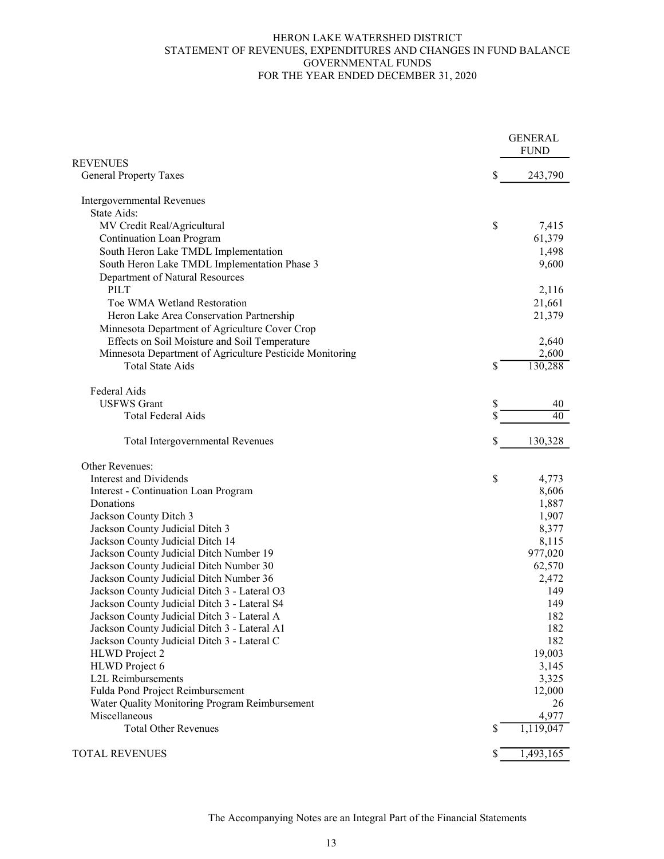#### STATEMENT OF REVENUES, EXPENDITURES AND CHANGES IN FUND BALANCE GOVERNMENTAL FUNDS FOR THE YEAR ENDED DECEMBER 31, 2020 HERON LAKE WATERSHED DISTRICT

|                                                                 |    | <b>GENERAL</b><br><b>FUND</b> |
|-----------------------------------------------------------------|----|-------------------------------|
| <b>REVENUES</b>                                                 |    |                               |
| <b>General Property Taxes</b>                                   | \$ | 243,790                       |
| Intergovernmental Revenues                                      |    |                               |
| State Aids:                                                     |    |                               |
| MV Credit Real/Agricultural                                     | \$ | 7,415                         |
| <b>Continuation Loan Program</b>                                |    | 61,379                        |
| South Heron Lake TMDL Implementation                            |    | 1,498                         |
| South Heron Lake TMDL Implementation Phase 3                    |    | 9,600                         |
| Department of Natural Resources                                 |    |                               |
| <b>PILT</b>                                                     |    | 2,116                         |
| Toe WMA Wetland Restoration                                     |    | 21,661                        |
| Heron Lake Area Conservation Partnership                        |    | 21,379                        |
| Minnesota Department of Agriculture Cover Crop                  |    |                               |
| Effects on Soil Moisture and Soil Temperature                   |    | 2,640                         |
| Minnesota Department of Agriculture Pesticide Monitoring        |    | 2,600                         |
| <b>Total State Aids</b>                                         | \$ | 130,288                       |
| Federal Aids                                                    |    |                               |
| <b>USFWS</b> Grant                                              | S  | 40                            |
| <b>Total Federal Aids</b>                                       |    | 40                            |
| Total Intergovernmental Revenues                                | \$ | 130,328                       |
| Other Revenues:                                                 |    |                               |
| <b>Interest and Dividends</b>                                   | \$ | 4,773                         |
| Interest - Continuation Loan Program                            |    | 8,606                         |
| Donations                                                       |    | 1,887                         |
| Jackson County Ditch 3                                          |    | 1,907                         |
| Jackson County Judicial Ditch 3                                 |    | 8,377                         |
| Jackson County Judicial Ditch 14                                |    | 8,115                         |
| Jackson County Judicial Ditch Number 19                         |    | 977,020                       |
| Jackson County Judicial Ditch Number 30                         |    | 62,570                        |
| Jackson County Judicial Ditch Number 36                         |    | 2,472                         |
| Jackson County Judicial Ditch 3 - Lateral O3                    |    | 149                           |
| Jackson County Judicial Ditch 3 - Lateral S4                    |    | 149                           |
| Jackson County Judicial Ditch 3 - Lateral A                     |    | 182                           |
| Jackson County Judicial Ditch 3 - Lateral A1                    |    | 182                           |
| Jackson County Judicial Ditch 3 - Lateral C                     |    | 182                           |
| HLWD Project 2                                                  |    | 19,003                        |
| HLWD Project 6                                                  |    | 3,145                         |
| <b>L2L Reimbursements</b>                                       |    | 3,325                         |
| Fulda Pond Project Reimbursement                                |    | 12,000                        |
| Water Quality Monitoring Program Reimbursement<br>Miscellaneous |    | 26<br>4,977                   |
| <b>Total Other Revenues</b>                                     | \$ | 1,119,047                     |
|                                                                 |    |                               |
| <b>TOTAL REVENUES</b>                                           | \$ | 1,493,165                     |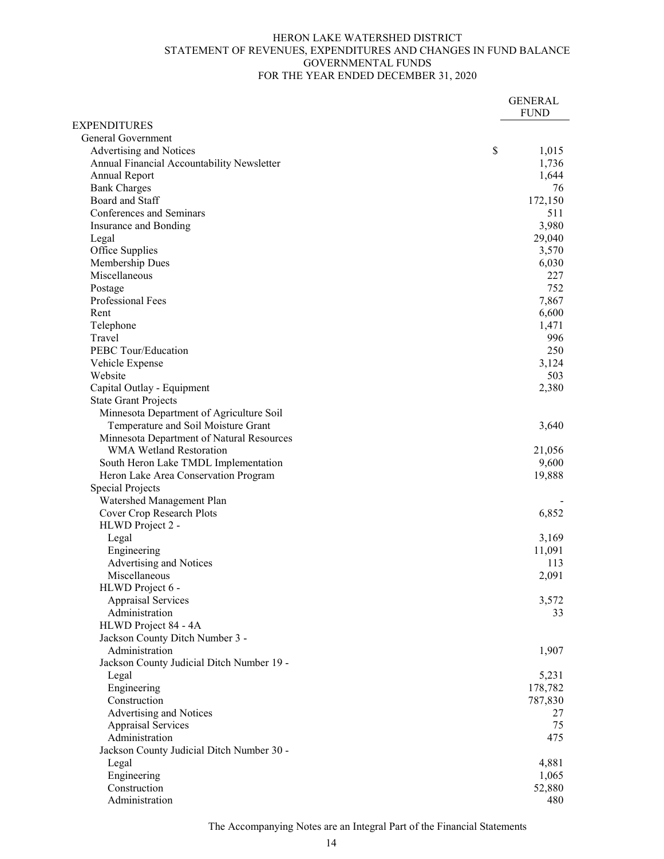#### HERON LAKE WATERSHED DISTRICT STATEMENT OF REVENUES, EXPENDITURES AND CHANGES IN FUND BALANCE GOVERNMENTAL FUNDS FOR THE YEAR ENDED DECEMBER 31, 2020

|                                            | <b>GENERAL</b> |
|--------------------------------------------|----------------|
|                                            | <b>FUND</b>    |
| <b>EXPENDITURES</b>                        |                |
| General Government                         |                |
| Advertising and Notices                    | \$<br>1,015    |
| Annual Financial Accountability Newsletter | 1,736          |
| Annual Report                              | 1,644          |
| <b>Bank Charges</b>                        | 76             |
| Board and Staff                            | 172,150        |
| Conferences and Seminars                   | 511            |
| Insurance and Bonding                      | 3,980          |
| Legal                                      | 29,040         |
| Office Supplies                            | 3,570          |
| Membership Dues                            | 6,030          |
| Miscellaneous                              | 227            |
| Postage                                    | 752            |
| Professional Fees                          | 7,867          |
| Rent                                       | 6,600          |
| Telephone                                  | 1,471          |
| Travel                                     | 996            |
| PEBC Tour/Education                        | 250            |
| Vehicle Expense                            | 3,124          |
| Website                                    | 503            |
| Capital Outlay - Equipment                 | 2,380          |
| <b>State Grant Projects</b>                |                |
| Minnesota Department of Agriculture Soil   |                |
| Temperature and Soil Moisture Grant        | 3,640          |
| Minnesota Department of Natural Resources  |                |
| WMA Wetland Restoration                    | 21,056         |
| South Heron Lake TMDL Implementation       | 9,600          |
| Heron Lake Area Conservation Program       | 19,888         |
| <b>Special Projects</b>                    |                |
| Watershed Management Plan                  |                |
| Cover Crop Research Plots                  | 6,852          |
| HLWD Project 2 -                           |                |
| Legal                                      | 3,169          |
| Engineering                                | 11,091         |
| Advertising and Notices                    | 113            |
| Miscellaneous                              | 2,091          |
| HLWD Project 6 -                           |                |
| <b>Appraisal Services</b>                  | 3,572          |
| Administration                             | 33             |
| HLWD Project 84 - 4A                       |                |
| Jackson County Ditch Number 3 -            |                |
| Administration                             | 1,907          |
| Jackson County Judicial Ditch Number 19 -  |                |
| Legal                                      | 5,231          |
| Engineering                                | 178,782        |
| Construction                               | 787,830        |
| Advertising and Notices                    | 27             |
| <b>Appraisal Services</b>                  | 75             |
| Administration                             | 475            |
| Jackson County Judicial Ditch Number 30 -  |                |
| Legal                                      | 4,881          |
| Engineering                                | 1,065          |
| Construction                               | 52,880         |
| Administration                             | 480            |

The Accompanying Notes are an Integral Part of the Financial Statements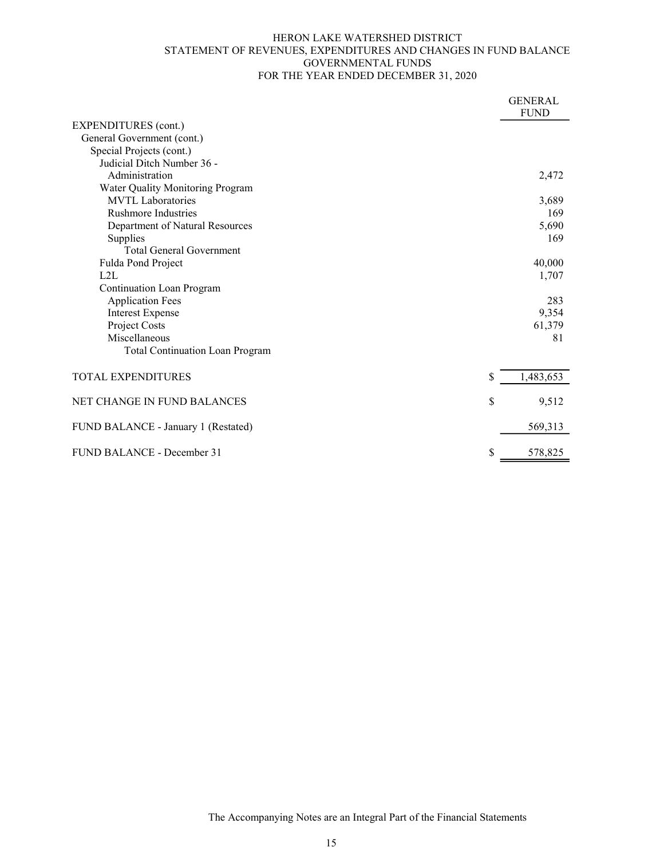#### HERON LAKE WATERSHED DISTRICT STATEMENT OF REVENUES, EXPENDITURES AND CHANGES IN FUND BALANCE GOVERNMENTAL FUNDS FOR THE YEAR ENDED DECEMBER 31, 2020

|                                        | <b>GENERAL</b> |
|----------------------------------------|----------------|
|                                        | <b>FUND</b>    |
| <b>EXPENDITURES</b> (cont.)            |                |
| General Government (cont.)             |                |
| Special Projects (cont.)               |                |
| Judicial Ditch Number 36 -             |                |
| Administration                         | 2,472          |
| Water Quality Monitoring Program       |                |
| <b>MVTL</b> Laboratories               | 3,689          |
| <b>Rushmore Industries</b>             | 169            |
| Department of Natural Resources        | 5,690          |
| Supplies                               | 169            |
| <b>Total General Government</b>        |                |
| Fulda Pond Project                     | 40,000         |
| L2L                                    | 1,707          |
| <b>Continuation Loan Program</b>       |                |
| <b>Application Fees</b>                | 283            |
| <b>Interest Expense</b>                | 9,354          |
| Project Costs                          | 61,379         |
| Miscellaneous                          | 81             |
| <b>Total Continuation Loan Program</b> |                |
| <b>TOTAL EXPENDITURES</b><br>S         | 1,483,653      |
|                                        |                |
| NET CHANGE IN FUND BALANCES<br>\$      | 9,512          |
| FUND BALANCE - January 1 (Restated)    | 569,313        |
| \$<br>FUND BALANCE - December 31       | 578,825        |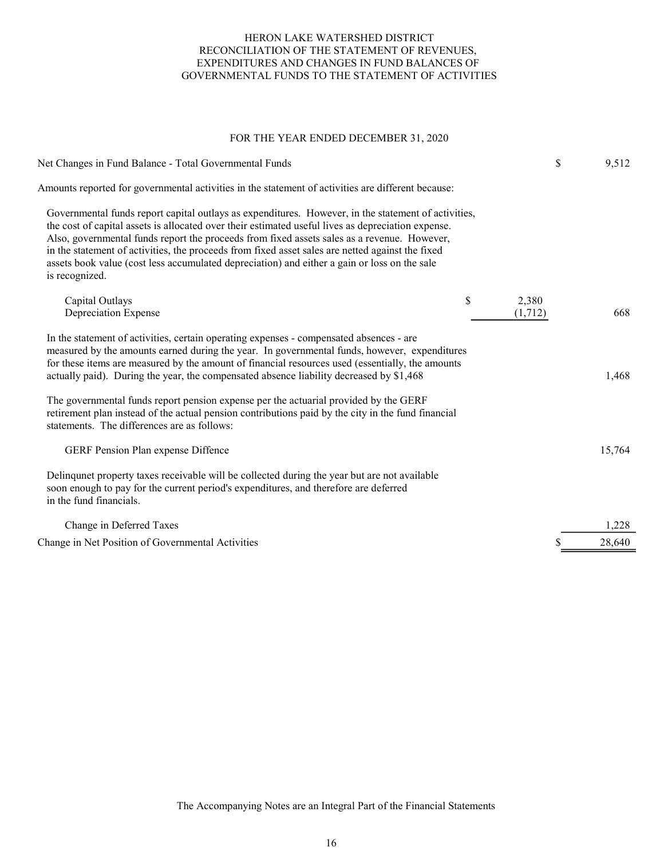#### HERON LAKE WATERSHED DISTRICT RECONCILIATION OF THE STATEMENT OF REVENUES, EXPENDITURES AND CHANGES IN FUND BALANCES OF GOVERNMENTAL FUNDS TO THE STATEMENT OF ACTIVITIES

#### FOR THE YEAR ENDED DECEMBER 31, 2020

| Net Changes in Fund Balance - Total Governmental Funds                                                                                                                                                                                                                                                                                                                                                                                                                                                                         |                        | \$<br>9,512 |
|--------------------------------------------------------------------------------------------------------------------------------------------------------------------------------------------------------------------------------------------------------------------------------------------------------------------------------------------------------------------------------------------------------------------------------------------------------------------------------------------------------------------------------|------------------------|-------------|
| Amounts reported for governmental activities in the statement of activities are different because:                                                                                                                                                                                                                                                                                                                                                                                                                             |                        |             |
| Governmental funds report capital outlays as expenditures. However, in the statement of activities,<br>the cost of capital assets is allocated over their estimated useful lives as depreciation expense.<br>Also, governmental funds report the proceeds from fixed assets sales as a revenue. However,<br>in the statement of activities, the proceeds from fixed asset sales are netted against the fixed<br>assets book value (cost less accumulated depreciation) and either a gain or loss on the sale<br>is recognized. |                        |             |
| Capital Outlays<br>Depreciation Expense                                                                                                                                                                                                                                                                                                                                                                                                                                                                                        | \$<br>2,380<br>(1,712) | 668         |
| In the statement of activities, certain operating expenses - compensated absences - are<br>measured by the amounts earned during the year. In governmental funds, however, expenditures<br>for these items are measured by the amount of financial resources used (essentially, the amounts<br>actually paid). During the year, the compensated absence liability decreased by \$1,468                                                                                                                                         |                        | 1,468       |
| The governmental funds report pension expense per the actuarial provided by the GERF<br>retirement plan instead of the actual pension contributions paid by the city in the fund financial<br>statements. The differences are as follows:                                                                                                                                                                                                                                                                                      |                        |             |
| <b>GERF Pension Plan expense Diffence</b>                                                                                                                                                                                                                                                                                                                                                                                                                                                                                      |                        | 15,764      |
| Delinque t property taxes receivable will be collected during the year but are not available<br>soon enough to pay for the current period's expenditures, and therefore are deferred<br>in the fund financials.                                                                                                                                                                                                                                                                                                                |                        |             |
| Change in Deferred Taxes                                                                                                                                                                                                                                                                                                                                                                                                                                                                                                       |                        | 1,228       |
| Change in Net Position of Governmental Activities                                                                                                                                                                                                                                                                                                                                                                                                                                                                              |                        | 28,640      |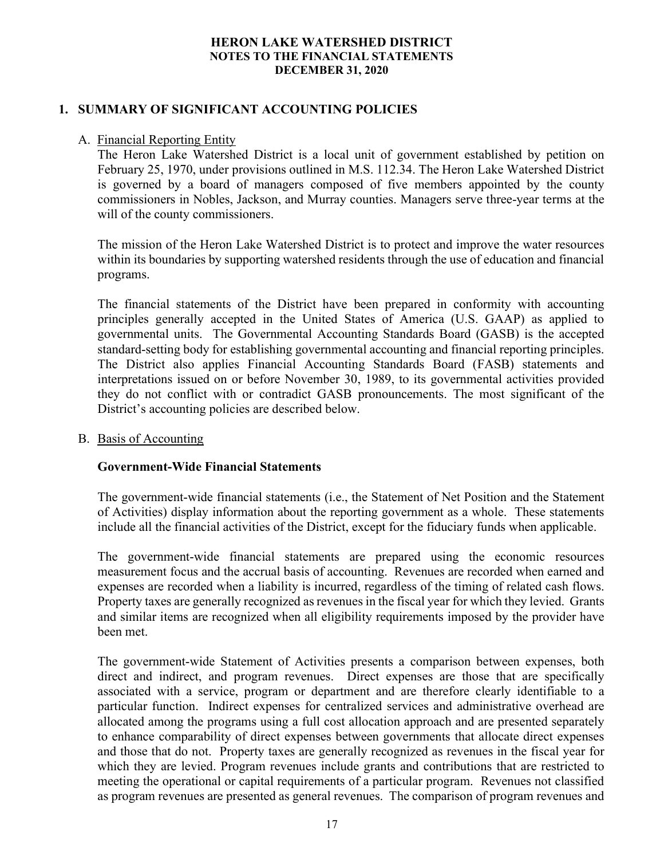# 1. SUMMARY OF SIGNIFICANT ACCOUNTING POLICIES

## A. Financial Reporting Entity

The Heron Lake Watershed District is a local unit of government established by petition on February 25, 1970, under provisions outlined in M.S. 112.34. The Heron Lake Watershed District is governed by a board of managers composed of five members appointed by the county commissioners in Nobles, Jackson, and Murray counties. Managers serve three-year terms at the will of the county commissioners.

The mission of the Heron Lake Watershed District is to protect and improve the water resources within its boundaries by supporting watershed residents through the use of education and financial programs.

The financial statements of the District have been prepared in conformity with accounting principles generally accepted in the United States of America (U.S. GAAP) as applied to governmental units. The Governmental Accounting Standards Board (GASB) is the accepted standard-setting body for establishing governmental accounting and financial reporting principles. The District also applies Financial Accounting Standards Board (FASB) statements and interpretations issued on or before November 30, 1989, to its governmental activities provided they do not conflict with or contradict GASB pronouncements. The most significant of the District's accounting policies are described below.

#### B. Basis of Accounting

## Government-Wide Financial Statements

The government-wide financial statements (i.e., the Statement of Net Position and the Statement of Activities) display information about the reporting government as a whole. These statements include all the financial activities of the District, except for the fiduciary funds when applicable.

The government-wide financial statements are prepared using the economic resources measurement focus and the accrual basis of accounting. Revenues are recorded when earned and expenses are recorded when a liability is incurred, regardless of the timing of related cash flows. Property taxes are generally recognized as revenues in the fiscal year for which they levied. Grants and similar items are recognized when all eligibility requirements imposed by the provider have been met.

The government-wide Statement of Activities presents a comparison between expenses, both direct and indirect, and program revenues. Direct expenses are those that are specifically associated with a service, program or department and are therefore clearly identifiable to a particular function. Indirect expenses for centralized services and administrative overhead are allocated among the programs using a full cost allocation approach and are presented separately to enhance comparability of direct expenses between governments that allocate direct expenses and those that do not. Property taxes are generally recognized as revenues in the fiscal year for which they are levied. Program revenues include grants and contributions that are restricted to meeting the operational or capital requirements of a particular program. Revenues not classified as program revenues are presented as general revenues. The comparison of program revenues and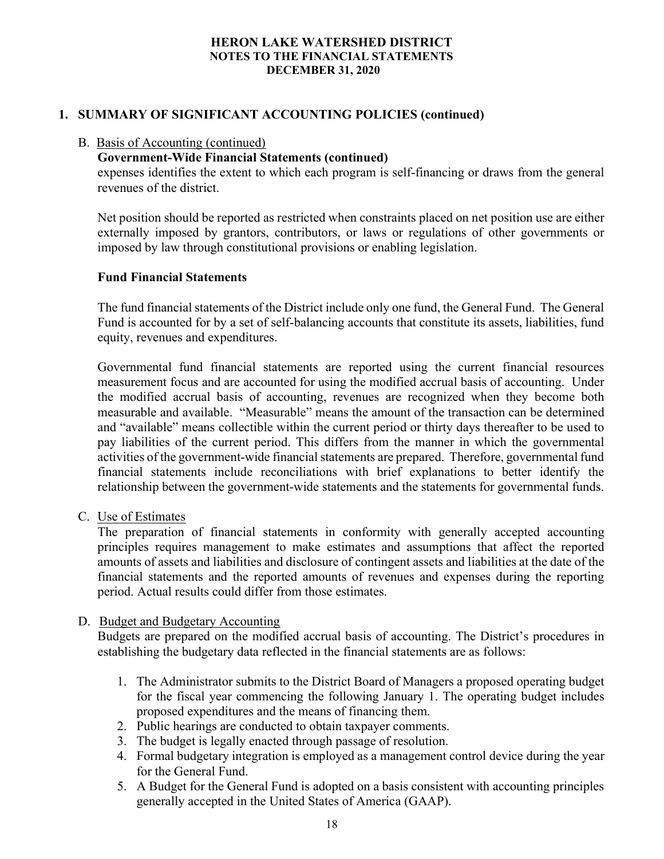# 1. SUMMARY OF SIGNIFICANT ACCOUNTING POLICIES (continued)

#### B. Basis of Accounting (continued)

## Government-Wide Financial Statements (continued)

expenses identifies the extent to which each program is self-financing or draws from the general revenues of the district.

Net position should be reported as restricted when constraints placed on net position use are either externally imposed by grantors, contributors, or laws or regulations of other governments or imposed by law through constitutional provisions or enabling legislation.

## Fund Financial Statements

The fund financial statements of the District include only one fund, the General Fund. The General Fund is accounted for by a set of self-balancing accounts that constitute its assets, liabilities, fund equity, revenues and expenditures.

Governmental fund financial statements are reported using the current financial resources measurement focus and are accounted for using the modified accrual basis of accounting. Under the modified accrual basis of accounting, revenues are recognized when they become both measurable and available. "Measurable" means the amount of the transaction can be determined and "available" means collectible within the current period or thirty days thereafter to be used to pay liabilities of the current period. This differs from the manner in which the governmental activities of the government-wide financial statements are prepared. Therefore, governmental fund financial statements include reconciliations with brief explanations to better identify the relationship between the government-wide statements and the statements for governmental funds.

## C. Use of Estimates

The preparation of financial statements in conformity with generally accepted accounting principles requires management to make estimates and assumptions that affect the reported amounts of assets and liabilities and disclosure of contingent assets and liabilities at the date of the financial statements and the reported amounts of revenues and expenses during the reporting period. Actual results could differ from those estimates.

## D. Budget and Budgetary Accounting

Budgets are prepared on the modified accrual basis of accounting. The District's procedures in establishing the budgetary data reflected in the financial statements are as follows:

- 1. The Administrator submits to the District Board of Managers a proposed operating budget for the fiscal year commencing the following January 1. The operating budget includes proposed expenditures and the means of financing them.
- 2. Public hearings are conducted to obtain taxpayer comments.
- 3. The budget is legally enacted through passage of resolution.
- 4. Formal budgetary integration is employed as a management control device during the year for the General Fund.
- 5. A Budget for the General Fund is adopted on a basis consistent with accounting principles generally accepted in the United States of America (GAAP).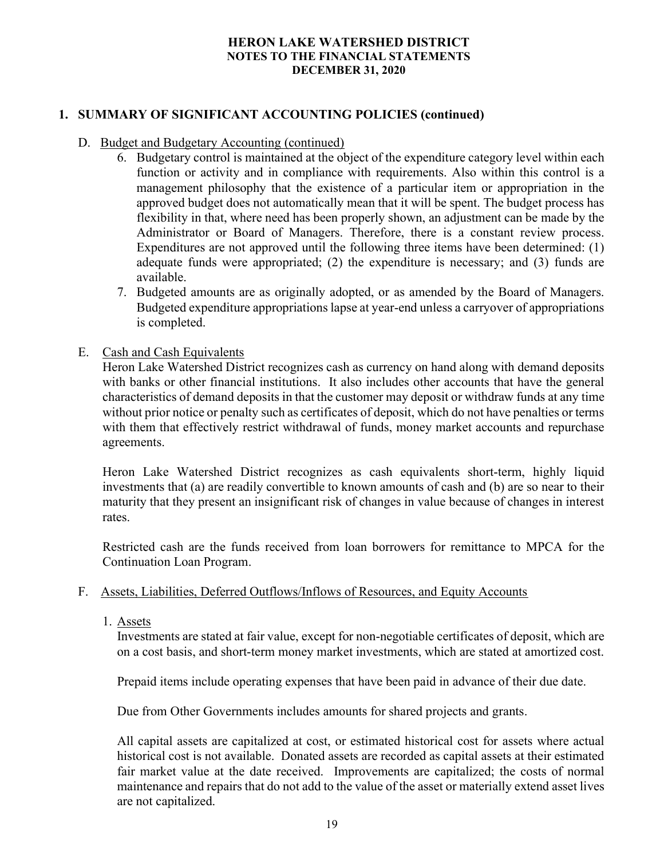# 1. SUMMARY OF SIGNIFICANT ACCOUNTING POLICIES (continued)

## D. Budget and Budgetary Accounting (continued)

- 6. Budgetary control is maintained at the object of the expenditure category level within each function or activity and in compliance with requirements. Also within this control is a management philosophy that the existence of a particular item or appropriation in the approved budget does not automatically mean that it will be spent. The budget process has flexibility in that, where need has been properly shown, an adjustment can be made by the Administrator or Board of Managers. Therefore, there is a constant review process. Expenditures are not approved until the following three items have been determined: (1) adequate funds were appropriated; (2) the expenditure is necessary; and (3) funds are available.
- 7. Budgeted amounts are as originally adopted, or as amended by the Board of Managers. Budgeted expenditure appropriations lapse at year-end unless a carryover of appropriations is completed.
- E. Cash and Cash Equivalents

Heron Lake Watershed District recognizes cash as currency on hand along with demand deposits with banks or other financial institutions. It also includes other accounts that have the general characteristics of demand deposits in that the customer may deposit or withdraw funds at any time without prior notice or penalty such as certificates of deposit, which do not have penalties or terms with them that effectively restrict withdrawal of funds, money market accounts and repurchase agreements.

Heron Lake Watershed District recognizes as cash equivalents short-term, highly liquid investments that (a) are readily convertible to known amounts of cash and (b) are so near to their maturity that they present an insignificant risk of changes in value because of changes in interest rates.

Restricted cash are the funds received from loan borrowers for remittance to MPCA for the Continuation Loan Program.

## F. Assets, Liabilities, Deferred Outflows/Inflows of Resources, and Equity Accounts

1. Assets

Investments are stated at fair value, except for non-negotiable certificates of deposit, which are on a cost basis, and short-term money market investments, which are stated at amortized cost.

Prepaid items include operating expenses that have been paid in advance of their due date.

Due from Other Governments includes amounts for shared projects and grants.

All capital assets are capitalized at cost, or estimated historical cost for assets where actual historical cost is not available. Donated assets are recorded as capital assets at their estimated fair market value at the date received. Improvements are capitalized; the costs of normal maintenance and repairs that do not add to the value of the asset or materially extend asset lives are not capitalized.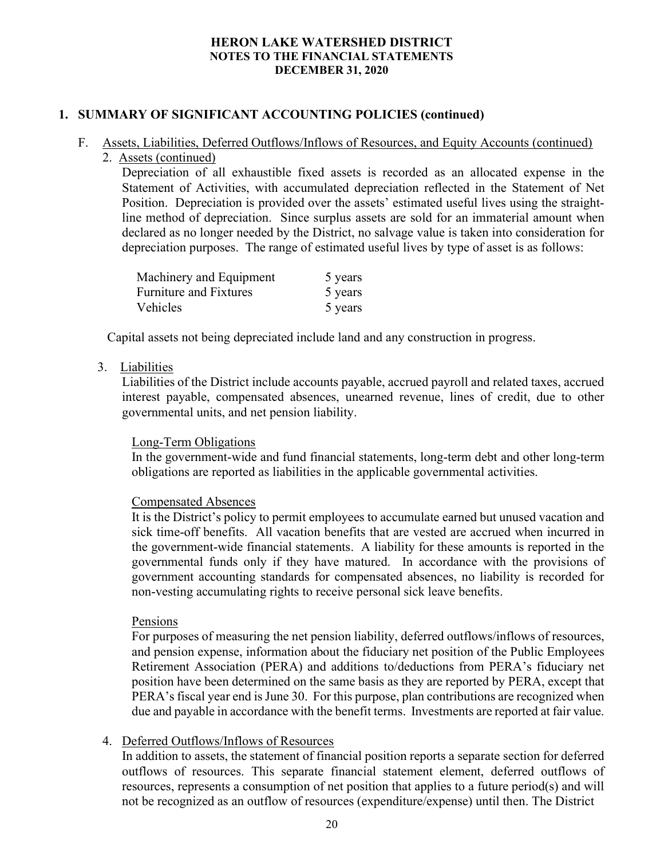# 1. SUMMARY OF SIGNIFICANT ACCOUNTING POLICIES (continued)

# F. Assets, Liabilities, Deferred Outflows/Inflows of Resources, and Equity Accounts (continued)

2. Assets (continued)

Depreciation of all exhaustible fixed assets is recorded as an allocated expense in the Statement of Activities, with accumulated depreciation reflected in the Statement of Net Position. Depreciation is provided over the assets' estimated useful lives using the straightline method of depreciation. Since surplus assets are sold for an immaterial amount when declared as no longer needed by the District, no salvage value is taken into consideration for depreciation purposes. The range of estimated useful lives by type of asset is as follows:

| Machinery and Equipment       | 5 years |
|-------------------------------|---------|
| <b>Furniture and Fixtures</b> | 5 years |
| Vehicles                      | 5 years |

Capital assets not being depreciated include land and any construction in progress.

#### 3. Liabilities

Liabilities of the District include accounts payable, accrued payroll and related taxes, accrued interest payable, compensated absences, unearned revenue, lines of credit, due to other governmental units, and net pension liability.

## Long-Term Obligations

In the government-wide and fund financial statements, long-term debt and other long-term obligations are reported as liabilities in the applicable governmental activities.

#### Compensated Absences

It is the District's policy to permit employees to accumulate earned but unused vacation and sick time-off benefits. All vacation benefits that are vested are accrued when incurred in the government-wide financial statements. A liability for these amounts is reported in the governmental funds only if they have matured. In accordance with the provisions of government accounting standards for compensated absences, no liability is recorded for non-vesting accumulating rights to receive personal sick leave benefits.

#### Pensions

For purposes of measuring the net pension liability, deferred outflows/inflows of resources, and pension expense, information about the fiduciary net position of the Public Employees Retirement Association (PERA) and additions to/deductions from PERA's fiduciary net position have been determined on the same basis as they are reported by PERA, except that PERA's fiscal year end is June 30. For this purpose, plan contributions are recognized when due and payable in accordance with the benefit terms. Investments are reported at fair value.

## 4. Deferred Outflows/Inflows of Resources

In addition to assets, the statement of financial position reports a separate section for deferred outflows of resources. This separate financial statement element, deferred outflows of resources, represents a consumption of net position that applies to a future period(s) and will not be recognized as an outflow of resources (expenditure/expense) until then. The District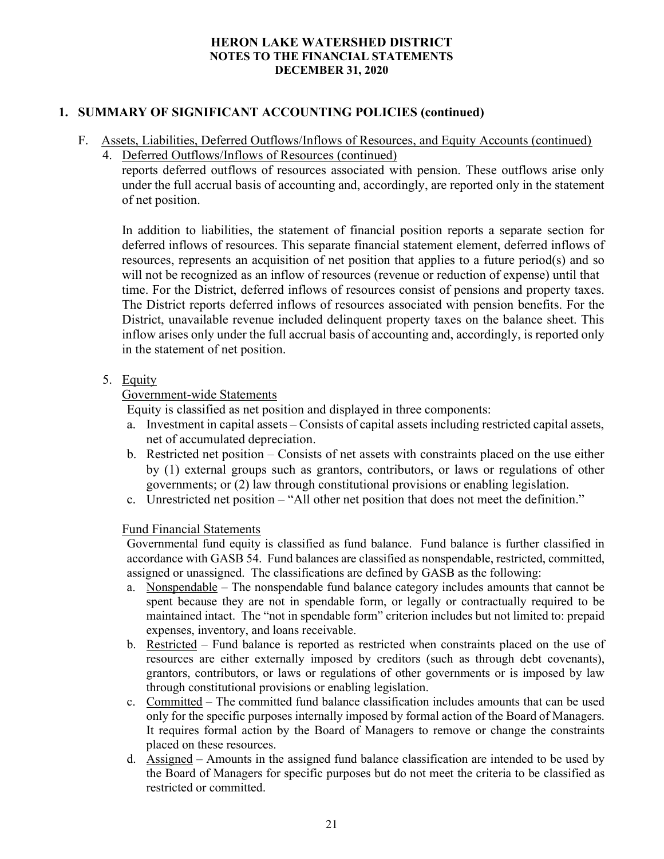# 1. SUMMARY OF SIGNIFICANT ACCOUNTING POLICIES (continued)

- F. Assets, Liabilities, Deferred Outflows/Inflows of Resources, and Equity Accounts (continued)
	- 4. Deferred Outflows/Inflows of Resources (continued)

reports deferred outflows of resources associated with pension. These outflows arise only under the full accrual basis of accounting and, accordingly, are reported only in the statement of net position.

In addition to liabilities, the statement of financial position reports a separate section for deferred inflows of resources. This separate financial statement element, deferred inflows of resources, represents an acquisition of net position that applies to a future period(s) and so will not be recognized as an inflow of resources (revenue or reduction of expense) until that time. For the District, deferred inflows of resources consist of pensions and property taxes. The District reports deferred inflows of resources associated with pension benefits. For the District, unavailable revenue included delinquent property taxes on the balance sheet. This inflow arises only under the full accrual basis of accounting and, accordingly, is reported only in the statement of net position.

# 5. Equity

# Government-wide Statements

Equity is classified as net position and displayed in three components:

- a. Investment in capital assets Consists of capital assets including restricted capital assets, net of accumulated depreciation.
- b. Restricted net position Consists of net assets with constraints placed on the use either by (1) external groups such as grantors, contributors, or laws or regulations of other governments; or (2) law through constitutional provisions or enabling legislation.
- c. Unrestricted net position "All other net position that does not meet the definition."

## Fund Financial Statements

Governmental fund equity is classified as fund balance. Fund balance is further classified in accordance with GASB 54. Fund balances are classified as nonspendable, restricted, committed, assigned or unassigned. The classifications are defined by GASB as the following:

- a. Nonspendable The nonspendable fund balance category includes amounts that cannot be spent because they are not in spendable form, or legally or contractually required to be maintained intact. The "not in spendable form" criterion includes but not limited to: prepaid expenses, inventory, and loans receivable.
- b. Restricted Fund balance is reported as restricted when constraints placed on the use of resources are either externally imposed by creditors (such as through debt covenants), grantors, contributors, or laws or regulations of other governments or is imposed by law through constitutional provisions or enabling legislation.
- c. Committed The committed fund balance classification includes amounts that can be used only for the specific purposes internally imposed by formal action of the Board of Managers. It requires formal action by the Board of Managers to remove or change the constraints placed on these resources.
- d. Assigned Amounts in the assigned fund balance classification are intended to be used by the Board of Managers for specific purposes but do not meet the criteria to be classified as restricted or committed.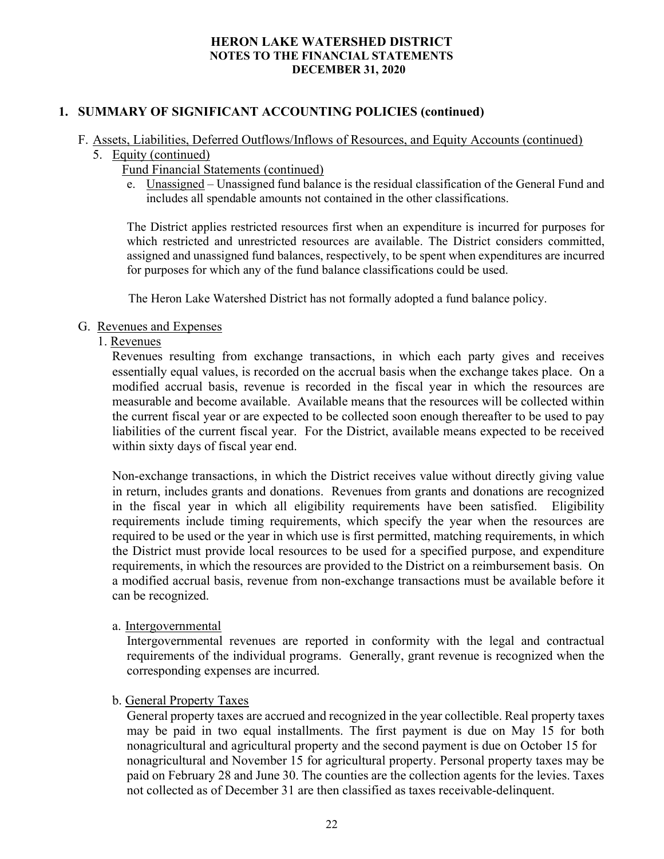# 1. SUMMARY OF SIGNIFICANT ACCOUNTING POLICIES (continued)

## F. Assets, Liabilities, Deferred Outflows/Inflows of Resources, and Equity Accounts (continued)

- 5. Equity (continued)
	- Fund Financial Statements (continued)
	- e. Unassigned Unassigned fund balance is the residual classification of the General Fund and includes all spendable amounts not contained in the other classifications.

The District applies restricted resources first when an expenditure is incurred for purposes for which restricted and unrestricted resources are available. The District considers committed, assigned and unassigned fund balances, respectively, to be spent when expenditures are incurred for purposes for which any of the fund balance classifications could be used.

The Heron Lake Watershed District has not formally adopted a fund balance policy.

# G. Revenues and Expenses

## 1. Revenues

 Revenues resulting from exchange transactions, in which each party gives and receives essentially equal values, is recorded on the accrual basis when the exchange takes place. On a modified accrual basis, revenue is recorded in the fiscal year in which the resources are measurable and become available. Available means that the resources will be collected within the current fiscal year or are expected to be collected soon enough thereafter to be used to pay liabilities of the current fiscal year. For the District, available means expected to be received within sixty days of fiscal year end.

Non-exchange transactions, in which the District receives value without directly giving value in return, includes grants and donations. Revenues from grants and donations are recognized in the fiscal year in which all eligibility requirements have been satisfied. Eligibility requirements include timing requirements, which specify the year when the resources are required to be used or the year in which use is first permitted, matching requirements, in which the District must provide local resources to be used for a specified purpose, and expenditure requirements, in which the resources are provided to the District on a reimbursement basis. On a modified accrual basis, revenue from non-exchange transactions must be available before it can be recognized.

a. Intergovernmental

Intergovernmental revenues are reported in conformity with the legal and contractual requirements of the individual programs. Generally, grant revenue is recognized when the corresponding expenses are incurred.

# b. General Property Taxes

General property taxes are accrued and recognized in the year collectible. Real property taxes may be paid in two equal installments. The first payment is due on May 15 for both nonagricultural and agricultural property and the second payment is due on October 15 for nonagricultural and November 15 for agricultural property. Personal property taxes may be paid on February 28 and June 30. The counties are the collection agents for the levies. Taxes not collected as of December 31 are then classified as taxes receivable-delinquent.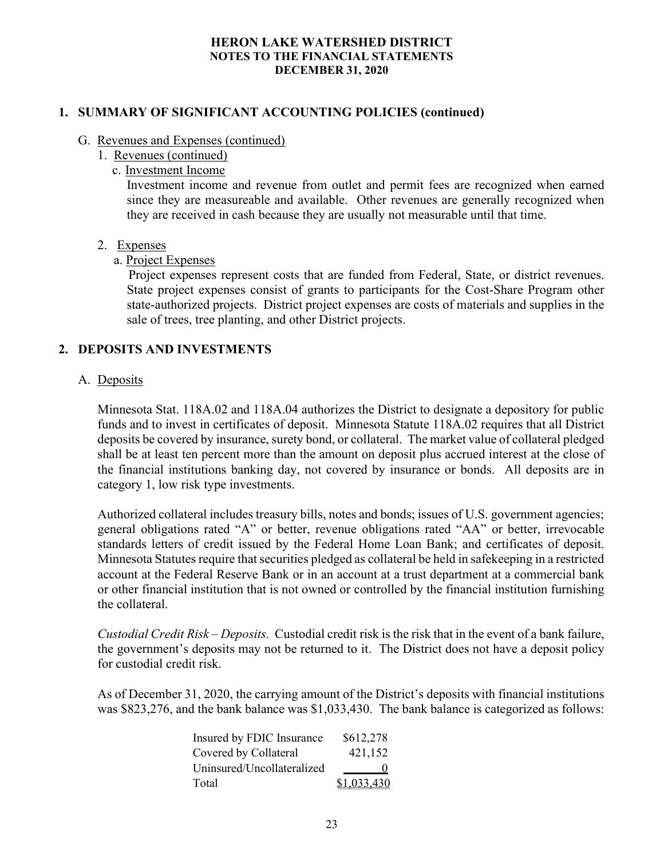## 1. SUMMARY OF SIGNIFICANT ACCOUNTING POLICIES (continued)

#### G. Revenues and Expenses (continued)

- 1. Revenues (continued)
	- c. Investment Income

Investment income and revenue from outlet and permit fees are recognized when earned since they are measureable and available. Other revenues are generally recognized when they are received in cash because they are usually not measurable until that time.

## 2. Expenses

## a. Project Expenses

 Project expenses represent costs that are funded from Federal, State, or district revenues. State project expenses consist of grants to participants for the Cost-Share Program other state-authorized projects. District project expenses are costs of materials and supplies in the sale of trees, tree planting, and other District projects.

# 2. DEPOSITS AND INVESTMENTS

## A. Deposits

Minnesota Stat. 118A.02 and 118A.04 authorizes the District to designate a depository for public funds and to invest in certificates of deposit. Minnesota Statute 118A.02 requires that all District deposits be covered by insurance, surety bond, or collateral. The market value of collateral pledged shall be at least ten percent more than the amount on deposit plus accrued interest at the close of the financial institutions banking day, not covered by insurance or bonds. All deposits are in category 1, low risk type investments.

Authorized collateral includes treasury bills, notes and bonds; issues of U.S. government agencies; general obligations rated "A" or better, revenue obligations rated "AA" or better, irrevocable standards letters of credit issued by the Federal Home Loan Bank; and certificates of deposit. Minnesota Statutes require that securities pledged as collateral be held in safekeeping in a restricted account at the Federal Reserve Bank or in an account at a trust department at a commercial bank or other financial institution that is not owned or controlled by the financial institution furnishing the collateral.

Custodial Credit Risk – Deposits. Custodial credit risk is the risk that in the event of a bank failure, the government's deposits may not be returned to it. The District does not have a deposit policy for custodial credit risk.

As of December 31, 2020, the carrying amount of the District's deposits with financial institutions was \$823,276, and the bank balance was \$1,033,430. The bank balance is categorized as follows:

| Insured by FDIC Insurance  | \$612,278   |
|----------------------------|-------------|
| Covered by Collateral      | 421,152     |
| Uninsured/Uncollateralized | O           |
| Total                      | \$1,033,430 |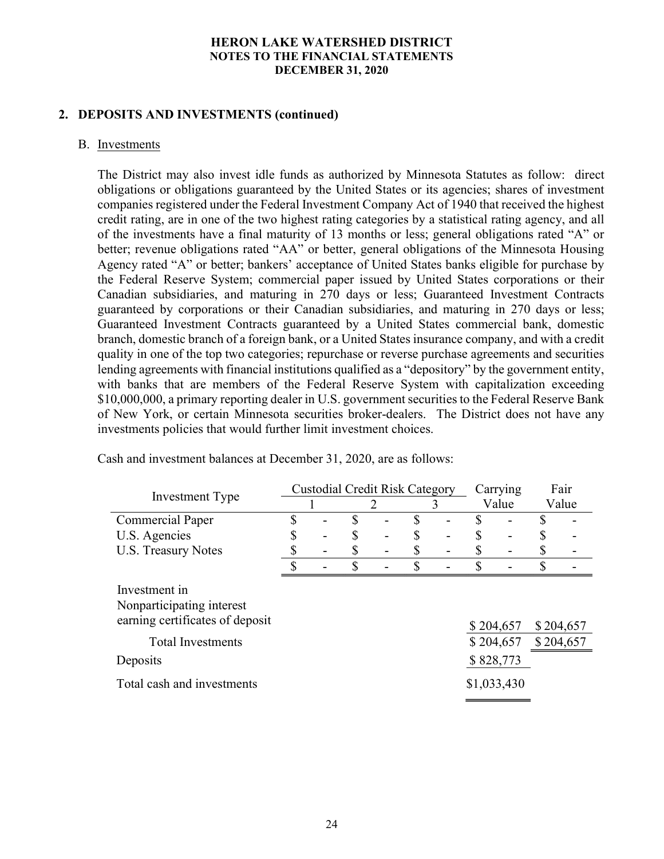## 2. DEPOSITS AND INVESTMENTS (continued)

#### B. Investments

The District may also invest idle funds as authorized by Minnesota Statutes as follow: direct obligations or obligations guaranteed by the United States or its agencies; shares of investment companies registered under the Federal Investment Company Act of 1940 that received the highest credit rating, are in one of the two highest rating categories by a statistical rating agency, and all of the investments have a final maturity of 13 months or less; general obligations rated "A" or better; revenue obligations rated "AA" or better, general obligations of the Minnesota Housing Agency rated "A" or better; bankers' acceptance of United States banks eligible for purchase by the Federal Reserve System; commercial paper issued by United States corporations or their Canadian subsidiaries, and maturing in 270 days or less; Guaranteed Investment Contracts guaranteed by corporations or their Canadian subsidiaries, and maturing in 270 days or less; Guaranteed Investment Contracts guaranteed by a United States commercial bank, domestic branch, domestic branch of a foreign bank, or a United States insurance company, and with a credit quality in one of the top two categories; repurchase or reverse purchase agreements and securities lending agreements with financial institutions qualified as a "depository" by the government entity, with banks that are members of the Federal Reserve System with capitalization exceeding \$10,000,000, a primary reporting dealer in U.S. government securities to the Federal Reserve Bank of New York, or certain Minnesota securities broker-dealers. The District does not have any investments policies that would further limit investment choices.

|                                                                                                                       |  | <b>Custodial Credit Risk Category</b> |  |           | Carrying               | Fair                   |
|-----------------------------------------------------------------------------------------------------------------------|--|---------------------------------------|--|-----------|------------------------|------------------------|
| Investment Type                                                                                                       |  |                                       |  |           | Value                  | Value                  |
| <b>Commercial Paper</b>                                                                                               |  |                                       |  |           |                        |                        |
| U.S. Agencies                                                                                                         |  |                                       |  |           |                        |                        |
| <b>U.S. Treasury Notes</b>                                                                                            |  |                                       |  |           |                        |                        |
|                                                                                                                       |  |                                       |  |           |                        |                        |
| Investment in<br>Nonparticipating interest<br>earning certificates of deposit<br><b>Total Investments</b><br>Deposits |  |                                       |  | \$828,773 | \$204,657<br>\$204,657 | \$204,657<br>\$204,657 |
| Total cash and investments                                                                                            |  |                                       |  |           | \$1,033,430            |                        |

Cash and investment balances at December 31, 2020, are as follows: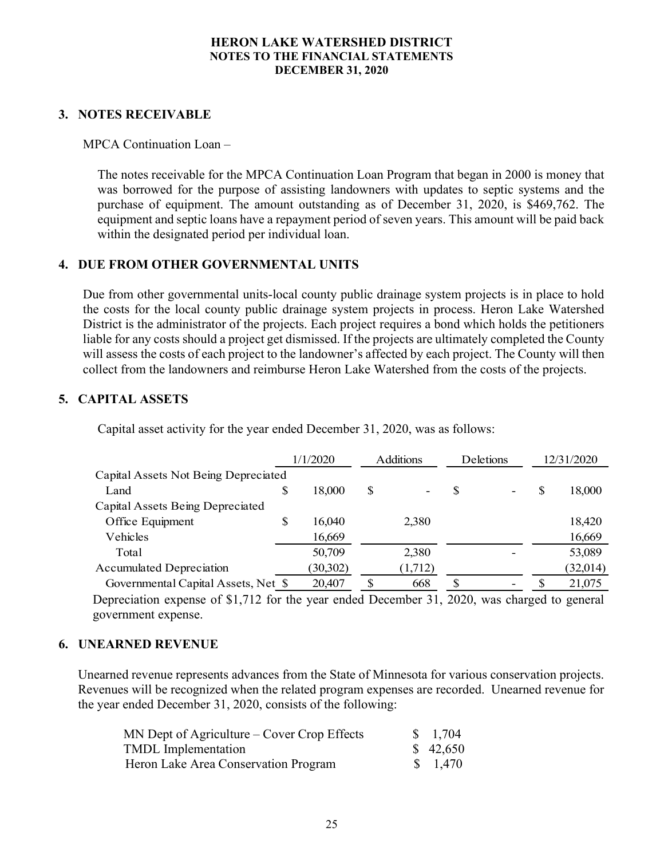# 3. NOTES RECEIVABLE

MPCA Continuation Loan –

The notes receivable for the MPCA Continuation Loan Program that began in 2000 is money that was borrowed for the purpose of assisting landowners with updates to septic systems and the purchase of equipment. The amount outstanding as of December 31, 2020, is \$469,762. The equipment and septic loans have a repayment period of seven years. This amount will be paid back within the designated period per individual loan.

# 4. DUE FROM OTHER GOVERNMENTAL UNITS

Due from other governmental units-local county public drainage system projects is in place to hold the costs for the local county public drainage system projects in process. Heron Lake Watershed District is the administrator of the projects. Each project requires a bond which holds the petitioners liable for any costs should a project get dismissed. If the projects are ultimately completed the County will assess the costs of each project to the landowner's affected by each project. The County will then collect from the landowners and reimburse Heron Lake Watershed from the costs of the projects. Figure 2020 and experiment to the served in the served of since the continuation of the containing and obverts with updates to septic systems and the containing as of December 31, 2020, is \$469,762. The ayment period of s

# 5. CAPITAL ASSETS

| ble for any costs should a project get dismissed. If the projects are ultimately completed the County<br>ill assess the costs of each project to the landowner's affected by each project. The County will then<br>llect from the landowners and reimburse Heron Lake Watershed from the costs of the projects. |    |          |                  |              |    |            |
|-----------------------------------------------------------------------------------------------------------------------------------------------------------------------------------------------------------------------------------------------------------------------------------------------------------------|----|----------|------------------|--------------|----|------------|
| <b>PITAL ASSETS</b>                                                                                                                                                                                                                                                                                             |    |          |                  |              |    |            |
| Capital asset activity for the year ended December 31, 2020, was as follows:                                                                                                                                                                                                                                    |    |          |                  |              |    |            |
|                                                                                                                                                                                                                                                                                                                 |    | 1/1/2020 | <b>Additions</b> | Deletions    |    | 12/31/2020 |
| Capital Assets Not Being Depreciated                                                                                                                                                                                                                                                                            |    |          |                  |              |    |            |
| Land                                                                                                                                                                                                                                                                                                            | S  | 18,000   | \$               |              | \$ | 18,000     |
| Capital Assets Being Depreciated                                                                                                                                                                                                                                                                                |    |          |                  |              |    |            |
| Office Equipment                                                                                                                                                                                                                                                                                                | \$ | 16,040   | 2,380            |              |    | 18,420     |
| Vehicles                                                                                                                                                                                                                                                                                                        |    | 16,669   |                  |              |    | 16,669     |
| Total                                                                                                                                                                                                                                                                                                           |    | 50,709   | 2,380            |              |    | 53,089     |
| <b>Accumulated Depreciation</b>                                                                                                                                                                                                                                                                                 |    | (30,302) | (1,712)          |              |    | (32,014)   |
| Governmental Capital Assets, Net \$                                                                                                                                                                                                                                                                             |    | 20,407   | \$<br>668        | $\mathbb{S}$ | \$ | 21,075     |
| Depreciation expense of \$1,712 for the year ended December 31, 2020, was charged to general                                                                                                                                                                                                                    |    |          |                  |              |    |            |
| government expense.                                                                                                                                                                                                                                                                                             |    |          |                  |              |    |            |

## 6. UNEARNED REVENUE

Unearned revenue represents advances from the State of Minnesota for various conservation projects. Revenues will be recognized when the related program expenses are recorded. Unearned revenue for the year ended December 31, 2020, consists of the following:

| $MN$ Dept of Agriculture – Cover Crop Effects | \$1,704  |
|-----------------------------------------------|----------|
| <b>TMDL</b> Implementation                    | \$42,650 |
| Heron Lake Area Conservation Program          | \$ 1.470 |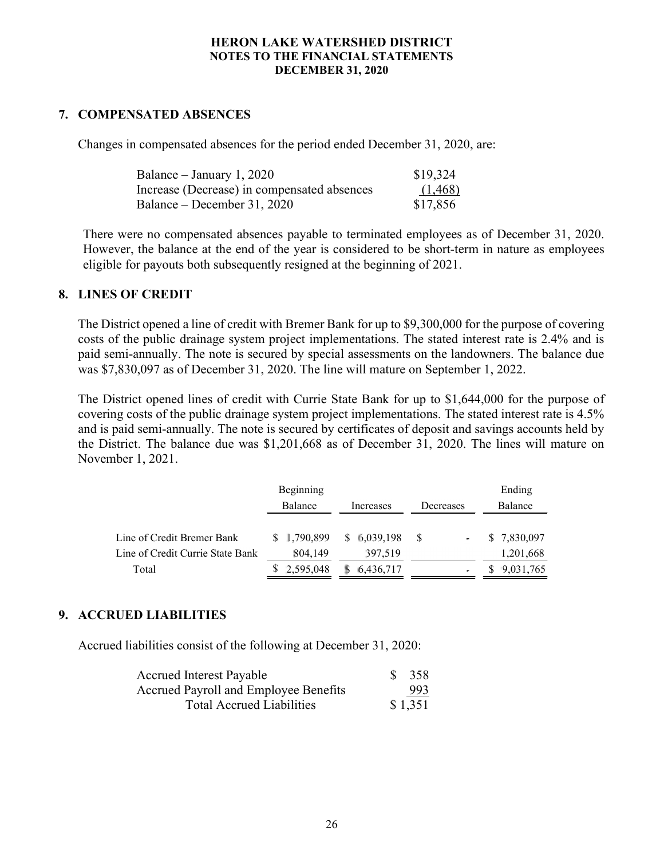# 7. COMPENSATED ABSENCES

Changes in compensated absences for the period ended December 31, 2020, are:

| Balance – January 1, 2020                   | \$19,324 |
|---------------------------------------------|----------|
| Increase (Decrease) in compensated absences | (1, 468) |
| Balance – December 31, 2020                 | \$17,856 |

There were no compensated absences payable to terminated employees as of December 31, 2020. However, the balance at the end of the year is considered to be short-term in nature as employees eligible for payouts both subsequently resigned at the beginning of 2021.

## 8. LINES OF CREDIT

The District opened a line of credit with Bremer Bank for up to \$9,300,000 for the purpose of covering costs of the public drainage system project implementations. The stated interest rate is 2.4% and is paid semi-annually. The note is secured by special assessments on the landowners. The balance due was \$7,830,097 as of December 31, 2020. The line will mature on September 1, 2022.

The District opened lines of credit with Currie State Bank for up to \$1,644,000 for the purpose of covering costs of the public drainage system project implementations. The stated interest rate is 4.5% and is paid semi-annually. The note is secured by certificates of deposit and savings accounts held by the District. The balance due was \$1,201,668 as of December 31, 2020. The lines will mature on November 1, 2021.

|                                  | Beginning   |             |                       | Ending       |
|----------------------------------|-------------|-------------|-----------------------|--------------|
|                                  | Balance     | Increases   | Decreases             | Balance      |
| Line of Credit Bremer Bank       | \$1,790,899 | \$6,039,198 | $\mathbf S$<br>$\sim$ | \$ 7,830,097 |
| Line of Credit Currie State Bank | 804.149     | 397.519     |                       | 1,201,668    |
| Total                            | \$2,595,048 | 6,436,717   |                       | \$9,031,765  |

# 9. ACCRUED LIABILITIES

Accrued liabilities consist of the following at December 31, 2020:

| <b>Accrued Interest Payable</b>       | \$ 358  |
|---------------------------------------|---------|
| Accrued Payroll and Employee Benefits | 993     |
| <b>Total Accrued Liabilities</b>      | \$1,351 |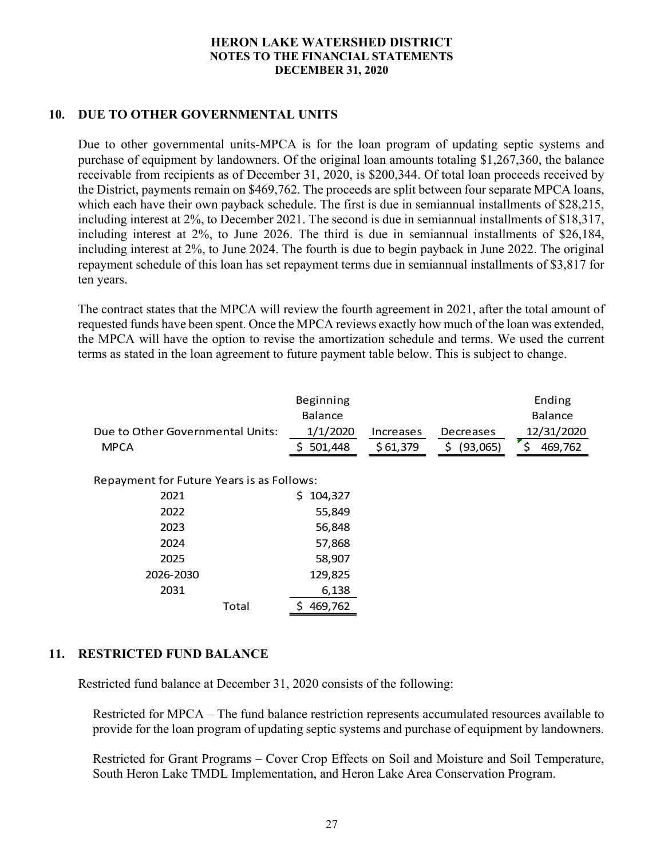# 10. DUE TO OTHER GOVERNMENTAL UNITS

Due to other governmental units-MPCA is for the loan program of updating septic systems and purchase of equipment by landowners. Of the original loan amounts totaling \$1,267,360, the balance receivable from recipients as of December 31, 2020, is \$200,344. Of total loan proceeds received by the District, payments remain on \$469,762. The proceeds are split between four separate MPCA loans, which each have their own payback schedule. The first is due in semiannual installments of \$28,215, including interest at 2%, to December 2021. The second is due in semiannual installments of \$18,317, including interest at 2%, to June 2026. The third is due in semiannual installments of \$26,184, including interest at 2%, to June 2024. The fourth is due to begin payback in June 2022. The original repayment schedule of this loan has set repayment terms due in semiannual installments of \$3,817 for ten years. ense or equipment by landowners. Or the original ioan amounts to Tampa Home and a more corrected by<br>
District, payments remain on \$469,762. The proceeds are split between four separate MPCA loans,<br>
District, payments rema

The contract states that the MPCA will review the fourth agreement in 2021, after the total amount of requested funds have been spent. Once the MPCA reviews exactly how much of the loan was extended, the MPCA will have the option to revise the amortization schedule and terms. We used the current terms as stated in the loan agreement to future payment table below. This is subject to change.

|                                                 |       | Beginning           |                       |                          | Ending                      |
|-------------------------------------------------|-------|---------------------|-----------------------|--------------------------|-----------------------------|
|                                                 |       | Balance             |                       |                          | Balance                     |
| Due to Other Governmental Units:<br><b>MPCA</b> | S     | 1/1/2020<br>501,448 | Increases<br>\$61,379 | Decreases<br>\$ (93,065) | 12/31/2020<br>\$<br>469,762 |
| Repayment for Future Years is as Follows:       |       |                     |                       |                          |                             |
| 2021                                            |       | \$104,327           |                       |                          |                             |
| 2022                                            |       | 55,849              |                       |                          |                             |
| 2023                                            |       | 56,848              |                       |                          |                             |
| 2024                                            |       | 57,868              |                       |                          |                             |
| 2025                                            |       | 58,907              |                       |                          |                             |
| 2026-2030                                       |       | 129,825             |                       |                          |                             |
| 2031                                            |       | 6,138               |                       |                          |                             |
|                                                 | Total | \$469,762           |                       |                          |                             |

## 11. RESTRICTED FUND BALANCE

Restricted fund balance at December 31, 2020 consists of the following:

Restricted for MPCA – The fund balance restriction represents accumulated resources available to provide for the loan program of updating septic systems and purchase of equipment by landowners.

Restricted for Grant Programs – Cover Crop Effects on Soil and Moisture and Soil Temperature, South Heron Lake TMDL Implementation, and Heron Lake Area Conservation Program.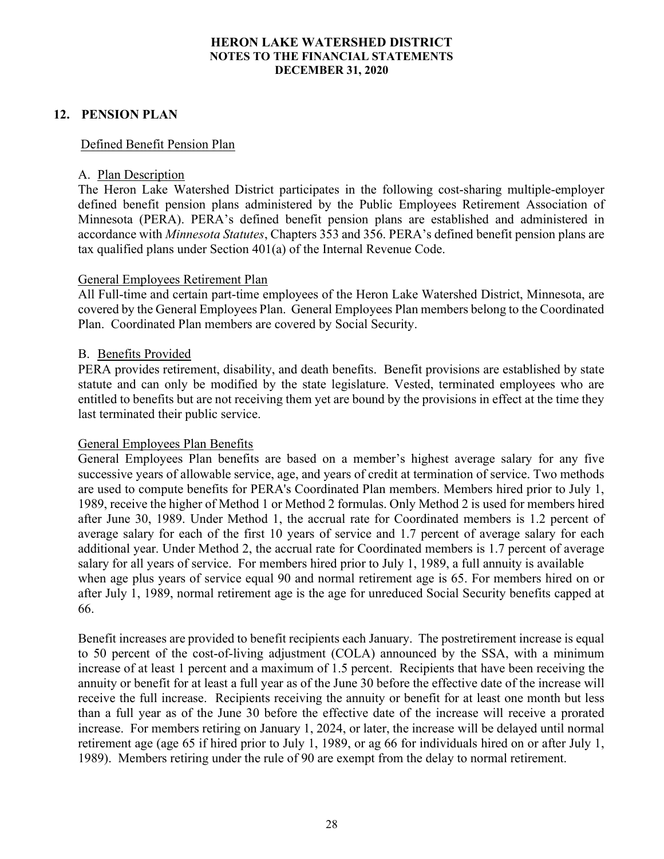# 12. PENSION PLAN

## Defined Benefit Pension Plan

#### A. Plan Description

The Heron Lake Watershed District participates in the following cost-sharing multiple-employer defined benefit pension plans administered by the Public Employees Retirement Association of Minnesota (PERA). PERA's defined benefit pension plans are established and administered in accordance with Minnesota Statutes, Chapters 353 and 356. PERA's defined benefit pension plans are tax qualified plans under Section 401(a) of the Internal Revenue Code.

#### General Employees Retirement Plan

All Full-time and certain part-time employees of the Heron Lake Watershed District, Minnesota, are covered by the General Employees Plan. General Employees Plan members belong to the Coordinated Plan. Coordinated Plan members are covered by Social Security.

#### B. Benefits Provided

PERA provides retirement, disability, and death benefits. Benefit provisions are established by state statute and can only be modified by the state legislature. Vested, terminated employees who are entitled to benefits but are not receiving them yet are bound by the provisions in effect at the time they last terminated their public service.

## General Employees Plan Benefits

General Employees Plan benefits are based on a member's highest average salary for any five successive years of allowable service, age, and years of credit at termination of service. Two methods are used to compute benefits for PERA's Coordinated Plan members. Members hired prior to July 1, 1989, receive the higher of Method 1 or Method 2 formulas. Only Method 2 is used for members hired after June 30, 1989. Under Method 1, the accrual rate for Coordinated members is 1.2 percent of average salary for each of the first 10 years of service and 1.7 percent of average salary for each additional year. Under Method 2, the accrual rate for Coordinated members is 1.7 percent of average salary for all years of service. For members hired prior to July 1, 1989, a full annuity is available when age plus years of service equal 90 and normal retirement age is 65. For members hired on or after July 1, 1989, normal retirement age is the age for unreduced Social Security benefits capped at 66.

Benefit increases are provided to benefit recipients each January. The postretirement increase is equal to 50 percent of the cost-of-living adjustment (COLA) announced by the SSA, with a minimum increase of at least 1 percent and a maximum of 1.5 percent. Recipients that have been receiving the annuity or benefit for at least a full year as of the June 30 before the effective date of the increase will receive the full increase. Recipients receiving the annuity or benefit for at least one month but less than a full year as of the June 30 before the effective date of the increase will receive a prorated increase. For members retiring on January 1, 2024, or later, the increase will be delayed until normal retirement age (age 65 if hired prior to July 1, 1989, or ag 66 for individuals hired on or after July 1, 1989). Members retiring under the rule of 90 are exempt from the delay to normal retirement.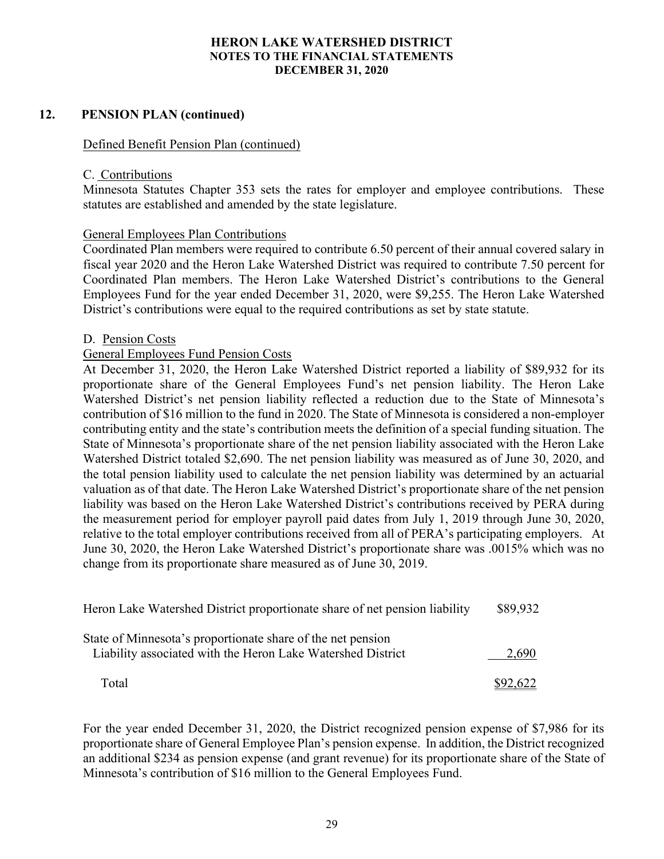## 12. PENSION PLAN (continued)

#### Defined Benefit Pension Plan (continued)

#### C. Contributions

Minnesota Statutes Chapter 353 sets the rates for employer and employee contributions. These statutes are established and amended by the state legislature.

#### General Employees Plan Contributions

Coordinated Plan members were required to contribute 6.50 percent of their annual covered salary in fiscal year 2020 and the Heron Lake Watershed District was required to contribute 7.50 percent for Coordinated Plan members. The Heron Lake Watershed District's contributions to the General Employees Fund for the year ended December 31, 2020, were \$9,255. The Heron Lake Watershed District's contributions were equal to the required contributions as set by state statute.

#### D. Pension Costs

#### General Employees Fund Pension Costs

At December 31, 2020, the Heron Lake Watershed District reported a liability of \$89,932 for its proportionate share of the General Employees Fund's net pension liability. The Heron Lake Watershed District's net pension liability reflected a reduction due to the State of Minnesota's contribution of \$16 million to the fund in 2020. The State of Minnesota is considered a non-employer contributing entity and the state's contribution meets the definition of a special funding situation. The State of Minnesota's proportionate share of the net pension liability associated with the Heron Lake Watershed District totaled \$2,690. The net pension liability was measured as of June 30, 2020, and the total pension liability used to calculate the net pension liability was determined by an actuarial valuation as of that date. The Heron Lake Watershed District's proportionate share of the net pension liability was based on the Heron Lake Watershed District's contributions received by PERA during the measurement period for employer payroll paid dates from July 1, 2019 through June 30, 2020, relative to the total employer contributions received from all of PERA's participating employers. At June 30, 2020, the Heron Lake Watershed District's proportionate share was .0015% which was no change from its proportionate share measured as of June 30, 2019.

| Heron Lake Watershed District proportionate share of net pension liability                                                 | \$89,932 |
|----------------------------------------------------------------------------------------------------------------------------|----------|
| State of Minnesota's proportionate share of the net pension<br>Liability associated with the Heron Lake Watershed District | 2.690    |
| Total                                                                                                                      | \$92,622 |

For the year ended December 31, 2020, the District recognized pension expense of \$7,986 for its proportionate share of General Employee Plan's pension expense. In addition, the District recognized an additional \$234 as pension expense (and grant revenue) for its proportionate share of the State of Minnesota's contribution of \$16 million to the General Employees Fund.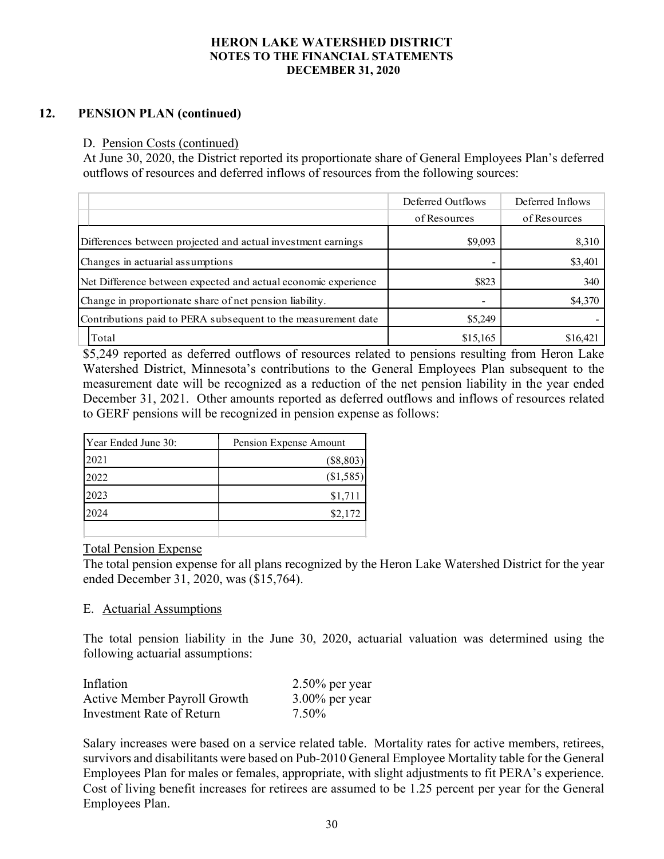# 12. PENSION PLAN (continued)

## D. Pension Costs (continued)

| <b>HERON LAKE WATERSHED DISTRICT</b><br><b>NOTES TO THE FINANCIAL STATEMENTS</b><br><b>DECEMBER 31, 2020</b>                                                                                                                                                   |                   |                  |
|----------------------------------------------------------------------------------------------------------------------------------------------------------------------------------------------------------------------------------------------------------------|-------------------|------------------|
| <b>PENSION PLAN (continued)</b><br>D. Pension Costs (continued)<br>At June 30, 2020, the District reported its proportionate share of General Employees Plan's deferred<br>outflows of resources and deferred inflows of resources from the following sources: |                   |                  |
|                                                                                                                                                                                                                                                                |                   |                  |
|                                                                                                                                                                                                                                                                | Deferred Outflows | Deferred Inflows |
|                                                                                                                                                                                                                                                                | of Resources      | of Resources     |
| Differences between projected and actual investment earnings                                                                                                                                                                                                   | \$9,093           | 8,310            |
| Changes in actuarial assumptions                                                                                                                                                                                                                               |                   | \$3,401          |
| Net Difference between expected and actual economic experience                                                                                                                                                                                                 | \$823             | 340              |
| Change in proportionate share of net pension liability.                                                                                                                                                                                                        |                   | \$4,370          |
| Contributions paid to PERA subsequent to the measurement date                                                                                                                                                                                                  | \$5,249           |                  |

\$5,249 reported as deferred outflows of resources related to pensions resulting from Heron Lake Watershed District, Minnesota's contributions to the General Employees Plan subsequent to the measurement date will be recognized as a reduction of the net pension liability in the year ended December 31, 2021. Other amounts reported as deferred outflows and inflows of resources related to GERF pensions will be recognized in pension expense as follows:

| Year Ended June 30: | Pension Expense Amount |
|---------------------|------------------------|
| 2021                | $(\$8,803)$            |
| 2022                | (\$1,585)              |
| 2023                | \$1,711                |
| 2024                | \$2,172                |
|                     |                        |

## Total Pension Expense

The total pension expense for all plans recognized by the Heron Lake Watershed District for the year ended December 31, 2020, was (\$15,764).

## E. Actuarial Assumptions

The total pension liability in the June 30, 2020, actuarial valuation was determined using the following actuarial assumptions:

| Inflation                           | $2.50\%$ per year |
|-------------------------------------|-------------------|
| <b>Active Member Payroll Growth</b> | $3.00\%$ per year |
| Investment Rate of Return           | 7.50%             |

Salary increases were based on a service related table. Mortality rates for active members, retirees, survivors and disabilitants were based on Pub-2010 General Employee Mortality table for the General Employees Plan for males or females, appropriate, with slight adjustments to fit PERA's experience. Cost of living benefit increases for retirees are assumed to be 1.25 percent per year for the General Employees Plan.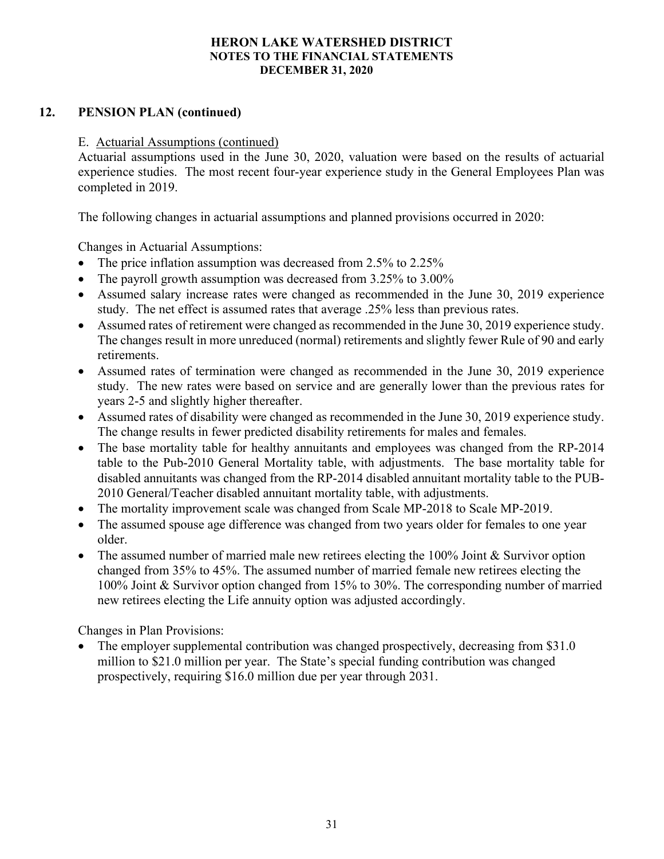# 12. PENSION PLAN (continued)

## E. Actuarial Assumptions (continued)

Actuarial assumptions used in the June 30, 2020, valuation were based on the results of actuarial experience studies. The most recent four-year experience study in the General Employees Plan was completed in 2019.

The following changes in actuarial assumptions and planned provisions occurred in 2020:

Changes in Actuarial Assumptions:

- The price inflation assumption was decreased from 2.5% to 2.25%
- The payroll growth assumption was decreased from 3.25% to 3.00%
- Assumed salary increase rates were changed as recommended in the June 30, 2019 experience study. The net effect is assumed rates that average .25% less than previous rates.
- Assumed rates of retirement were changed as recommended in the June 30, 2019 experience study. The changes result in more unreduced (normal) retirements and slightly fewer Rule of 90 and early retirements.
- Assumed rates of termination were changed as recommended in the June 30, 2019 experience study. The new rates were based on service and are generally lower than the previous rates for years 2-5 and slightly higher thereafter.
- Assumed rates of disability were changed as recommended in the June 30, 2019 experience study. The change results in fewer predicted disability retirements for males and females.
- The base mortality table for healthy annuitants and employees was changed from the RP-2014 table to the Pub-2010 General Mortality table, with adjustments. The base mortality table for disabled annuitants was changed from the RP-2014 disabled annuitant mortality table to the PUB-2010 General/Teacher disabled annuitant mortality table, with adjustments.
- The mortality improvement scale was changed from Scale MP-2018 to Scale MP-2019.
- The assumed spouse age difference was changed from two years older for females to one year older.
- The assumed number of married male new retirees electing the  $100\%$  Joint & Survivor option changed from 35% to 45%. The assumed number of married female new retirees electing the 100% Joint & Survivor option changed from 15% to 30%. The corresponding number of married new retirees electing the Life annuity option was adjusted accordingly.

Changes in Plan Provisions:

• The employer supplemental contribution was changed prospectively, decreasing from \$31.0 million to \$21.0 million per year. The State's special funding contribution was changed prospectively, requiring \$16.0 million due per year through 2031.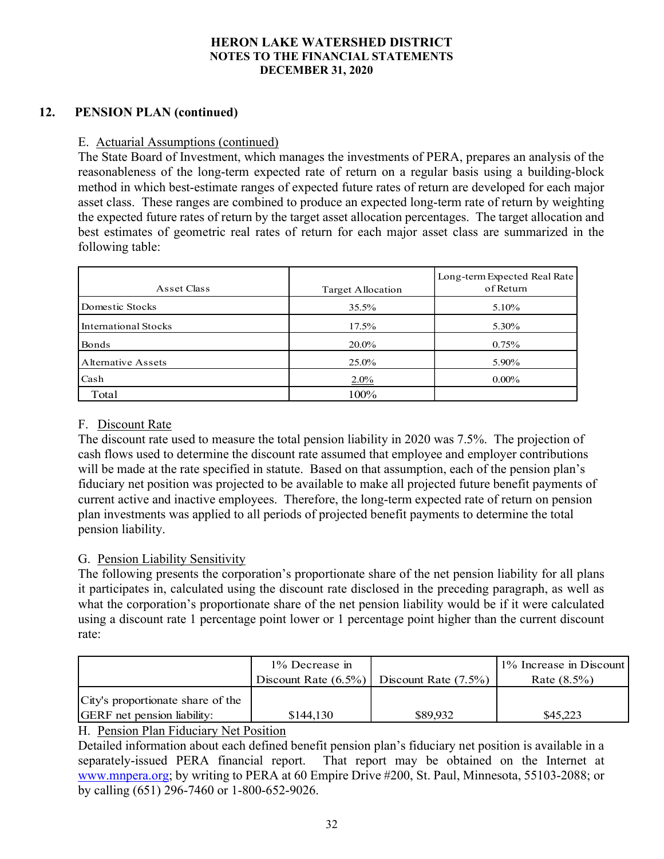# 12. PENSION PLAN (continued)

# E. Actuarial Assumptions (continued)

The State Board of Investment, which manages the investments of PERA, prepares an analysis of the reasonableness of the long-term expected rate of return on a regular basis using a building-block method in which best-estimate ranges of expected future rates of return are developed for each major asset class. These ranges are combined to produce an expected long-term rate of return by weighting the expected future rates of return by the target asset allocation percentages. The target allocation and best estimates of geometric real rates of return for each major asset class are summarized in the following table:

| Asset Class          | Target Allocation | Long-term Expected Real Rate<br>of Return |
|----------------------|-------------------|-------------------------------------------|
| Domestic Stocks      | 35.5%             | 5.10%                                     |
| International Stocks | 17.5%             | 5.30%                                     |
| Bonds                | 20.0%             | 0.75%                                     |
| Alternative Assets   | 25.0%             | 5.90%                                     |
| Cash                 | 2.0%              | $0.00\%$                                  |
| Total                | 100%              |                                           |

# F. Discount Rate

The discount rate used to measure the total pension liability in 2020 was 7.5%. The projection of cash flows used to determine the discount rate assumed that employee and employer contributions will be made at the rate specified in statute. Based on that assumption, each of the pension plan's fiduciary net position was projected to be available to make all projected future benefit payments of current active and inactive employees. Therefore, the long-term expected rate of return on pension plan investments was applied to all periods of projected benefit payments to determine the total pension liability.

## G. Pension Liability Sensitivity

The following presents the corporation's proportionate share of the net pension liability for all plans it participates in, calculated using the discount rate disclosed in the preceding paragraph, as well as what the corporation's proportionate share of the net pension liability would be if it were calculated using a discount rate 1 percentage point lower or 1 percentage point higher than the current discount rate:

|                                    | $1\%$ Decrease in |                                                 | 1% Increase in Discount |  |
|------------------------------------|-------------------|-------------------------------------------------|-------------------------|--|
|                                    |                   | Discount Rate $(6.5\%)$ Discount Rate $(7.5\%)$ | Rate $(8.5\%)$          |  |
| City's proportionate share of the  |                   |                                                 |                         |  |
| <b>GERF</b> net pension liability: | \$144,130         | \$89,932                                        | \$45,223                |  |

## H. Pension Plan Fiduciary Net Position

Detailed information about each defined benefit pension plan's fiduciary net position is available in a separately-issued PERA financial report. That report may be obtained on the Internet at www.mnpera.org; by writing to PERA at 60 Empire Drive #200, St. Paul, Minnesota, 55103-2088; or by calling (651) 296-7460 or 1-800-652-9026.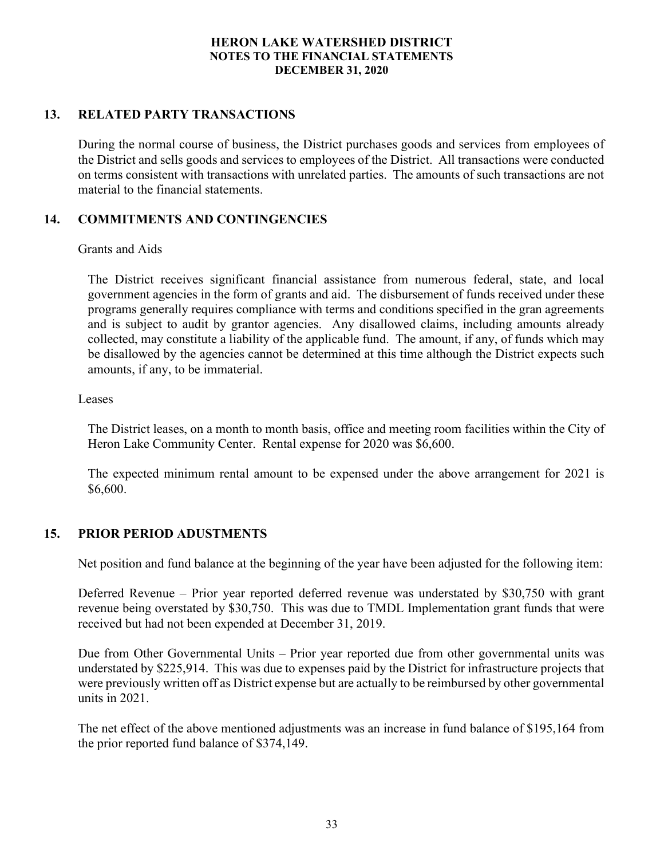# 13. RELATED PARTY TRANSACTIONS

During the normal course of business, the District purchases goods and services from employees of the District and sells goods and services to employees of the District. All transactions were conducted on terms consistent with transactions with unrelated parties. The amounts of such transactions are not material to the financial statements.

# 14. COMMITMENTS AND CONTINGENCIES

#### Grants and Aids

 The District receives significant financial assistance from numerous federal, state, and local government agencies in the form of grants and aid. The disbursement of funds received under these programs generally requires compliance with terms and conditions specified in the gran agreements and is subject to audit by grantor agencies. Any disallowed claims, including amounts already collected, may constitute a liability of the applicable fund. The amount, if any, of funds which may be disallowed by the agencies cannot be determined at this time although the District expects such amounts, if any, to be immaterial.

#### Leases

The District leases, on a month to month basis, office and meeting room facilities within the City of Heron Lake Community Center. Rental expense for 2020 was \$6,600.

The expected minimum rental amount to be expensed under the above arrangement for 2021 is \$6,600.

## 15. PRIOR PERIOD ADUSTMENTS

Net position and fund balance at the beginning of the year have been adjusted for the following item:

Deferred Revenue – Prior year reported deferred revenue was understated by \$30,750 with grant revenue being overstated by \$30,750. This was due to TMDL Implementation grant funds that were received but had not been expended at December 31, 2019.

Due from Other Governmental Units – Prior year reported due from other governmental units was understated by \$225,914. This was due to expenses paid by the District for infrastructure projects that were previously written off as District expense but are actually to be reimbursed by other governmental units in 2021.

The net effect of the above mentioned adjustments was an increase in fund balance of \$195,164 from the prior reported fund balance of \$374,149.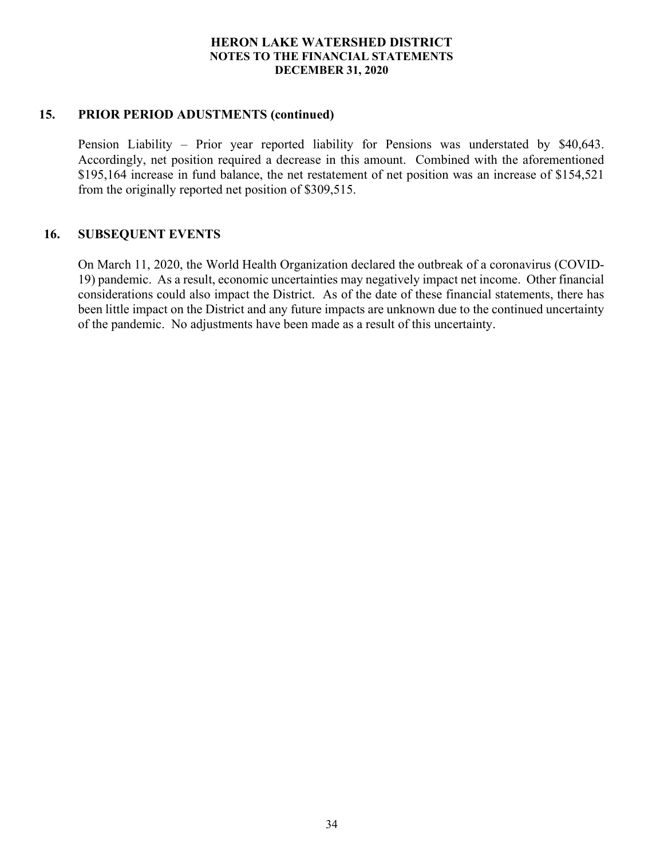# 15. PRIOR PERIOD ADUSTMENTS (continued)

Pension Liability – Prior year reported liability for Pensions was understated by \$40,643. Accordingly, net position required a decrease in this amount. Combined with the aforementioned \$195,164 increase in fund balance, the net restatement of net position was an increase of \$154,521 from the originally reported net position of \$309,515.

# 16. SUBSEQUENT EVENTS

On March 11, 2020, the World Health Organization declared the outbreak of a coronavirus (COVID-19) pandemic. As a result, economic uncertainties may negatively impact net income. Other financial considerations could also impact the District. As of the date of these financial statements, there has been little impact on the District and any future impacts are unknown due to the continued uncertainty of the pandemic. No adjustments have been made as a result of this uncertainty.